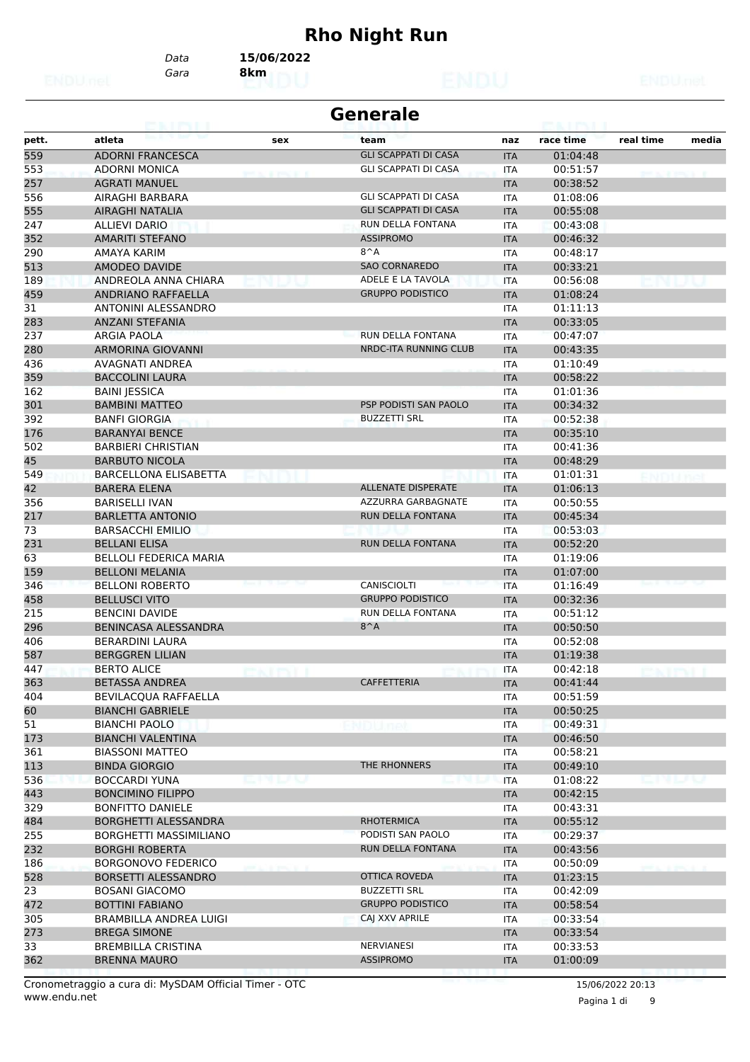# **Rho Night Run**

*Gara* **8km** *Data* **15/06/2022**

|                 | <b>Generale</b><br>.          |                   |                             |            |           |           |       |  |  |
|-----------------|-------------------------------|-------------------|-----------------------------|------------|-----------|-----------|-------|--|--|
| pett.           | atleta                        | sex               | team                        | naz        | race time | real time | media |  |  |
| 559             | <b>ADORNI FRANCESCA</b>       |                   | <b>GLI SCAPPATI DI CASA</b> | <b>ITA</b> | 01:04:48  |           |       |  |  |
| 553             | <b>ADORNI MONICA</b>          | <b>STANDARD R</b> | <b>GLI SCAPPATI DI CASA</b> | <b>ITA</b> | 00:51:57  |           |       |  |  |
| 257             | <b>AGRATI MANUEL</b>          |                   |                             | <b>ITA</b> | 00:38:52  |           |       |  |  |
| 556             | AIRAGHI BARBARA               |                   | <b>GLI SCAPPATI DI CASA</b> | ITA        | 01:08:06  |           |       |  |  |
| 555             | AIRAGHI NATALIA               |                   | <b>GLI SCAPPATI DI CASA</b> | <b>ITA</b> | 00:55:08  |           |       |  |  |
| 247             | <b>ALLIEVI DARIO</b>          |                   | RUN DELLA FONTANA           | ITA        | 00:43:08  |           |       |  |  |
| 352             | <b>AMARITI STEFANO</b>        |                   | <b>ASSIPROMO</b>            | <b>ITA</b> | 00:46:32  |           |       |  |  |
| 290             | AMAYA KARIM                   |                   | $8^A$                       | <b>ITA</b> | 00:48:17  |           |       |  |  |
| 513             | AMODEO DAVIDE                 |                   | <b>SAO CORNAREDO</b>        | <b>ITA</b> | 00:33:21  |           |       |  |  |
| 189             | ANDREOLA ANNA CHIARA          |                   | ADELE E LA TAVOLA           | <b>ITA</b> | 00:56:08  |           |       |  |  |
| 459             | <b>ANDRIANO RAFFAELLA</b>     |                   | <b>GRUPPO PODISTICO</b>     | <b>ITA</b> | 01:08:24  |           |       |  |  |
| $\overline{31}$ | ANTONINI ALESSANDRO           |                   |                             | ITA        | 01:11:13  |           |       |  |  |
| 283             | <b>ANZANI STEFANIA</b>        |                   |                             | <b>ITA</b> | 00:33:05  |           |       |  |  |
| 237             | ARGIA PAOLA                   |                   | RUN DELLA FONTANA           | <b>ITA</b> | 00:47:07  |           |       |  |  |
| 280             | ARMORINA GIOVANNI             |                   | NRDC-ITA RUNNING CLUB       | <b>ITA</b> | 00:43:35  |           |       |  |  |
| 436             | AVAGNATI ANDREA               |                   |                             | ITA        | 01:10:49  |           |       |  |  |
| 359             | <b>BACCOLINI LAURA</b>        |                   |                             | <b>ITA</b> | 00:58:22  |           |       |  |  |
| 162             | <b>BAINI JESSICA</b>          |                   |                             | <b>ITA</b> | 01:01:36  |           |       |  |  |
| 301             | <b>BAMBINI MATTEO</b>         |                   | PSP PODISTI SAN PAOLO       | <b>ITA</b> | 00:34:32  |           |       |  |  |
| 392             | <b>BANFI GIORGIA</b>          |                   | <b>BUZZETTI SRL</b>         | <b>ITA</b> | 00:52:38  |           |       |  |  |
| 176             | <b>BARANYAI BENCE</b>         |                   |                             | <b>ITA</b> | 00:35:10  |           |       |  |  |
| 502             | <b>BARBIERI CHRISTIAN</b>     |                   |                             | <b>ITA</b> | 00:41:36  |           |       |  |  |
| 45              | <b>BARBUTO NICOLA</b>         |                   |                             | <b>ITA</b> | 00:48:29  |           |       |  |  |
| 549             | <b>BARCELLONA ELISABETTA</b>  |                   |                             | <b>ITA</b> | 01:01:31  |           |       |  |  |
| 42              | <b>BARERA ELENA</b>           |                   | <b>ALLENATE DISPERATE</b>   | <b>ITA</b> | 01:06:13  |           |       |  |  |
| 356             | <b>BARISELLI IVAN</b>         |                   | AZZURRA GARBAGNATE          | <b>ITA</b> | 00:50:55  |           |       |  |  |
| 217             | <b>BARLETTA ANTONIO</b>       |                   | RUN DELLA FONTANA           | <b>ITA</b> | 00:45:34  |           |       |  |  |
| 73              | <b>BARSACCHI EMILIO</b>       |                   |                             | ITA        | 00:53:03  |           |       |  |  |
| 231             | <b>BELLANI ELISA</b>          |                   | RUN DELLA FONTANA           | <b>ITA</b> | 00:52:20  |           |       |  |  |
| 63              | <b>BELLOLI FEDERICA MARIA</b> |                   |                             | ITA        | 01:19:06  |           |       |  |  |
| 159             | <b>BELLONI MELANIA</b>        |                   |                             | <b>ITA</b> | 01:07:00  |           |       |  |  |
| 346             | <b>BELLONI ROBERTO</b>        |                   | CANISCIOLTI                 | <b>ITA</b> | 01:16:49  |           |       |  |  |
| 458             | <b>BELLUSCI VITO</b>          |                   | <b>GRUPPO PODISTICO</b>     | <b>ITA</b> | 00:32:36  |           |       |  |  |
| 215             | <b>BENCINI DAVIDE</b>         |                   | RUN DELLA FONTANA           | ITA        | 00:51:12  |           |       |  |  |
| 296             | BENINCASA ALESSANDRA          |                   | $8^A$                       | <b>ITA</b> | 00:50:50  |           |       |  |  |
| 406             | <b>BERARDINI LAURA</b>        |                   |                             | ITA        | 00:52:08  |           |       |  |  |
| 587             | <b>BERGGREN LILIAN</b>        |                   |                             | <b>ITA</b> | 01:19:38  |           |       |  |  |
| 447             | <b>BERTO ALICE</b>            |                   |                             | <b>ITA</b> | 00:42:18  |           |       |  |  |
| 363             | <b>BETASSA ANDREA</b>         |                   | CAFFETTERIA                 | <b>ITA</b> | 00:41:44  |           |       |  |  |
| 404             | BEVILACQUA RAFFAELLA          |                   |                             | ITA        | 00:51:59  |           |       |  |  |
| 60              | <b>BIANCHI GABRIELE</b>       |                   |                             | <b>ITA</b> | 00:50:25  |           |       |  |  |
| 51              | <b>BIANCHI PAOLO</b>          |                   |                             | ITA        | 00:49:31  |           |       |  |  |
| 173             | <b>BIANCHI VALENTINA</b>      |                   |                             | <b>ITA</b> | 00:46:50  |           |       |  |  |
| 361             | <b>BIASSONI MATTEO</b>        |                   |                             | ITA        | 00:58:21  |           |       |  |  |
| 113             | <b>BINDA GIORGIO</b>          |                   | THE RHONNERS                | <b>ITA</b> | 00:49:10  |           |       |  |  |
| 536             | <b>BOCCARDI YUNA</b>          | אי ער             |                             | <b>ITA</b> | 01:08:22  |           |       |  |  |
| 443             | <b>BONCIMINO FILIPPO</b>      |                   |                             | <b>ITA</b> | 00:42:15  |           |       |  |  |
| 329             | <b>BONFITTO DANIELE</b>       |                   |                             | ITA        | 00:43:31  |           |       |  |  |
| 484             | BORGHETTI ALESSANDRA          |                   | <b>RHOTERMICA</b>           | <b>ITA</b> | 00:55:12  |           |       |  |  |
| 255             | BORGHETTI MASSIMILIANO        |                   | PODISTI SAN PAOLO           | ITA        | 00:29:37  |           |       |  |  |
| 232             | <b>BORGHI ROBERTA</b>         |                   | RUN DELLA FONTANA           | <b>ITA</b> | 00:43:56  |           |       |  |  |
| 186             | <b>BORGONOVO FEDERICO</b>     |                   |                             | ITA        | 00:50:09  |           |       |  |  |
| 528             | BORSETTI ALESSANDRO           |                   | OTTICA ROVEDA               | <b>ITA</b> | 01:23:15  |           |       |  |  |
| 23              | <b>BOSANI GIACOMO</b>         |                   | <b>BUZZETTI SRL</b>         | ITA        | 00:42:09  |           |       |  |  |
| 472             | <b>BOTTINI FABIANO</b>        |                   | <b>GRUPPO PODISTICO</b>     | <b>ITA</b> | 00:58:54  |           |       |  |  |
| 305             | BRAMBILLA ANDREA LUIGI        |                   | CAJ XXV APRILE              | ITA        | 00:33:54  |           |       |  |  |
| 273             | <b>BREGA SIMONE</b>           |                   |                             | <b>ITA</b> | 00:33:54  |           |       |  |  |
| 33              | <b>BREMBILLA CRISTINA</b>     |                   | NERVIANESI                  | ITA        | 00:33:53  |           |       |  |  |
| 362             | <b>BRENNA MAURO</b>           |                   | <b>ASSIPROMO</b>            | <b>ITA</b> | 01:00:09  |           |       |  |  |
|                 |                               |                   |                             |            |           |           |       |  |  |

www.endu.net Cronometraggio a cura di: MySDAM Official Timer - OTC 15/06/2022 20:13

Pagina 1 di 9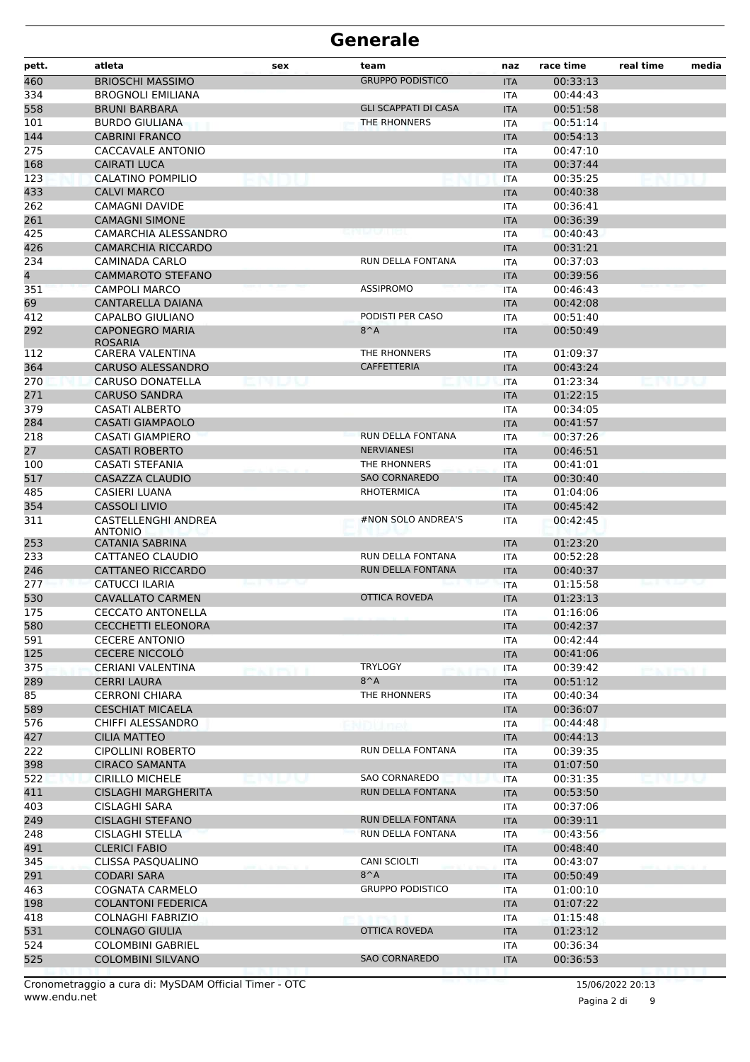| pett.      | atleta                                           | sex           | team                                      | naz                      | race time            | real time | media |
|------------|--------------------------------------------------|---------------|-------------------------------------------|--------------------------|----------------------|-----------|-------|
| 460        | <b>BRIOSCHI MASSIMO</b>                          |               | <b>GRUPPO PODISTICO</b>                   | <b>ITA</b>               | 00:33:13             |           |       |
| 334        | <b>BROGNOLI EMILIANA</b>                         |               |                                           | <b>ITA</b>               | 00:44:43             |           |       |
| 558        | <b>BRUNI BARBARA</b>                             |               | <b>GLI SCAPPATI DI CASA</b>               | <b>ITA</b>               | 00:51:58             |           |       |
| 101        | <b>BURDO GIULIANA</b>                            |               | THE RHONNERS                              | <b>ITA</b>               | 00:51:14             |           |       |
| 144        | <b>CABRINI FRANCO</b>                            |               |                                           | <b>ITA</b>               | 00:54:13             |           |       |
| 275        | <b>CACCAVALE ANTONIO</b>                         |               |                                           | <b>ITA</b>               | 00:47:10             |           |       |
| 168        | <b>CAIRATI LUCA</b>                              |               |                                           | <b>ITA</b>               | 00:37:44             |           |       |
| 123        | CALATINO POMPILIO                                |               |                                           | <b>ITA</b>               | 00:35:25             |           |       |
| 433        | <b>CALVI MARCO</b>                               |               |                                           | <b>ITA</b>               | 00:40:38             |           |       |
| 262        | <b>CAMAGNI DAVIDE</b>                            |               |                                           | <b>ITA</b>               | 00:36:41             |           |       |
| 261        | <b>CAMAGNI SIMONE</b>                            |               |                                           | <b>ITA</b>               | 00:36:39             |           |       |
| 425        | <b>CAMARCHIA ALESSANDRO</b>                      |               |                                           | <b>ITA</b>               | 00:40:43             |           |       |
| 426<br>234 | <b>CAMARCHIA RICCARDO</b><br>CAMINADA CARLO      |               | RUN DELLA FONTANA                         | <b>ITA</b><br><b>ITA</b> | 00:31:21<br>00:37:03 |           |       |
| 4          | <b>CAMMAROTO STEFANO</b>                         |               |                                           | <b>ITA</b>               | 00:39:56             |           |       |
| 351        | <b>CAMPOLI MARCO</b>                             |               | <b>ASSIPROMO</b>                          | <b>ITA</b>               | 00:46:43             |           |       |
| 69         | CANTARELLA DAIANA                                |               |                                           | <b>ITA</b>               | 00:42:08             |           |       |
| 412        | <b>CAPALBO GIULIANO</b>                          |               | PODISTI PER CASO                          | ITA                      | 00:51:40             |           |       |
| 292        | <b>CAPONEGRO MARIA</b>                           |               | $8^A$                                     | <b>ITA</b>               | 00:50:49             |           |       |
|            | <b>ROSARIA</b>                                   |               |                                           |                          |                      |           |       |
| 112        | CARERA VALENTINA                                 |               | THE RHONNERS                              | <b>ITA</b>               | 01:09:37             |           |       |
| 364        | <b>CARUSO ALESSANDRO</b>                         |               | <b>CAFFETTERIA</b>                        | <b>ITA</b>               | 00:43:24             |           |       |
| 270        | <b>CARUSO DONATELLA</b>                          |               |                                           | <b>ITA</b>               | 01:23:34             |           |       |
| 271        | <b>CARUSO SANDRA</b>                             |               |                                           | <b>ITA</b>               | 01:22:15             |           |       |
| 379        | <b>CASATI ALBERTO</b>                            |               |                                           | <b>ITA</b>               | 00:34:05             |           |       |
| 284        | <b>CASATI GIAMPAOLO</b>                          |               |                                           | <b>ITA</b>               | 00:41:57             |           |       |
| 218        | <b>CASATI GIAMPIERO</b>                          |               | RUN DELLA FONTANA                         | <b>ITA</b>               | 00:37:26             |           |       |
| 27         | <b>CASATI ROBERTO</b>                            |               | <b>NERVIANESI</b>                         | <b>ITA</b>               | 00:46:51             |           |       |
| 100        | <b>CASATI STEFANIA</b>                           |               | THE RHONNERS                              | ITA                      | 00:41:01             |           |       |
| 517        | <b>CASAZZA CLAUDIO</b>                           |               | <b>SAO CORNAREDO</b><br><b>RHOTERMICA</b> | <b>ITA</b>               | 00:30:40             |           |       |
| 485<br>354 | <b>CASIERI LUANA</b><br><b>CASSOLI LIVIO</b>     |               |                                           | <b>ITA</b><br><b>ITA</b> | 01:04:06<br>00:45:42 |           |       |
| 311        | CASTELLENGHI ANDREA                              |               | #NON SOLO ANDREA'S                        | ITA                      | 00:42:45             |           |       |
|            | <b>ANTONIO</b>                                   |               |                                           |                          |                      |           |       |
| 253        | <b>CATANIA SABRINA</b>                           |               |                                           | <b>ITA</b>               | 01:23:20             |           |       |
| 233        | CATTANEO CLAUDIO                                 |               | RUN DELLA FONTANA                         | <b>ITA</b>               | 00:52:28             |           |       |
| 246        | <b>CATTANEO RICCARDO</b>                         |               | RUN DELLA FONTANA                         | <b>ITA</b>               | 00:40:37             |           |       |
| 277        | <b>CATUCCI ILARIA</b>                            |               |                                           | <b>ITA</b>               | 01:15:58             |           |       |
| 530        | <b>CAVALLATO CARMEN</b>                          |               | <b>OTTICA ROVEDA</b>                      | <b>ITA</b>               | 01:23:13             |           |       |
| 175        | <b>CECCATO ANTONELLA</b>                         |               |                                           | ITA                      | 01:16:06             |           |       |
| 580        | <b>CECCHETTI ELEONORA</b>                        |               |                                           | <b>ITA</b>               | 00:42:37             |           |       |
| 591        | <b>CECERE ANTONIO</b>                            |               |                                           | ITA                      | 00:42:44             |           |       |
| 125        | <b>CECERE NICCOLÓ</b>                            |               |                                           | <b>ITA</b>               | 00:41:06             |           |       |
| 375        | CERIANI VALENTINA                                | <b>EXTENT</b> | <b>TRYLOGY</b>                            | ITA                      | 00:39:42             |           |       |
| 289<br>85  | <b>CERRI LAURA</b>                               |               | $8^A$<br>THE RHONNERS                     | <b>ITA</b>               | 00:51:12<br>00:40:34 |           |       |
| 589        | <b>CERRONI CHIARA</b><br><b>CESCHIAT MICAELA</b> |               |                                           | ITA<br><b>ITA</b>        | 00:36:07             |           |       |
| 576        | CHIFFI ALESSANDRO                                |               |                                           | <b>ITA</b>               | 00:44:48             |           |       |
| 427        | <b>CILIA MATTEO</b>                              |               | NDUnet                                    | <b>ITA</b>               | 00:44:13             |           |       |
| 222        | <b>CIPOLLINI ROBERTO</b>                         |               | RUN DELLA FONTANA                         | <b>ITA</b>               | 00:39:35             |           |       |
| 398        | <b>CIRACO SAMANTA</b>                            |               |                                           | <b>ITA</b>               | 01:07:50             |           |       |
| 522        | <b>CIRILLO MICHELE</b>                           |               | SAO CORNAREDO                             | <b>ITA</b>               | 00:31:35             |           |       |
| 411        | <b>CISLAGHI MARGHERITA</b>                       |               | RUN DELLA FONTANA                         | <b>ITA</b>               | 00:53:50             |           |       |
| 403        | CISLAGHI SARA                                    |               |                                           | ITA                      | 00:37:06             |           |       |
| 249        | <b>CISLAGHI STEFANO</b>                          |               | RUN DELLA FONTANA                         | <b>ITA</b>               | 00:39:11             |           |       |
| 248        | <b>CISLAGHI STELLA</b>                           |               | RUN DELLA FONTANA                         | ITA                      | 00:43:56             |           |       |
| 491        | <b>CLERICI FABIO</b>                             |               |                                           | <b>ITA</b>               | 00:48:40             |           |       |
| 345        | CLISSA PASQUALINO                                |               | CANI SCIOLTI                              | <b>ITA</b>               | 00:43:07             |           |       |
| 291        | <b>CODARI SARA</b>                               |               | $8^A$                                     | <b>ITA</b>               | 00:50:49             |           |       |
| 463        | COGNATA CARMELO                                  |               | <b>GRUPPO PODISTICO</b>                   | ITA                      | 01:00:10             |           |       |
| 198        | <b>COLANTONI FEDERICA</b>                        |               |                                           | <b>ITA</b>               | 01:07:22             |           |       |
| 418        | <b>COLNAGHI FABRIZIO</b>                         |               |                                           | <b>ITA</b>               | 01:15:48             |           |       |
| 531        | <b>COLNAGO GIULIA</b>                            |               | OTTICA ROVEDA                             | <b>ITA</b>               | 01:23:12             |           |       |
| 524        | <b>COLOMBINI GABRIEL</b>                         |               |                                           | <b>ITA</b>               | 00:36:34             |           |       |
| 525        | <b>COLOMBINI SILVANO</b>                         |               | <b>SAO CORNAREDO</b>                      | <b>ITA</b>               | 00:36:53             |           |       |
|            |                                                  |               |                                           |                          |                      |           |       |

www.endu.net Cronometraggio a cura di: MySDAM Official Timer - OTC 15/06/2022 20:13

Pagina 2 di 9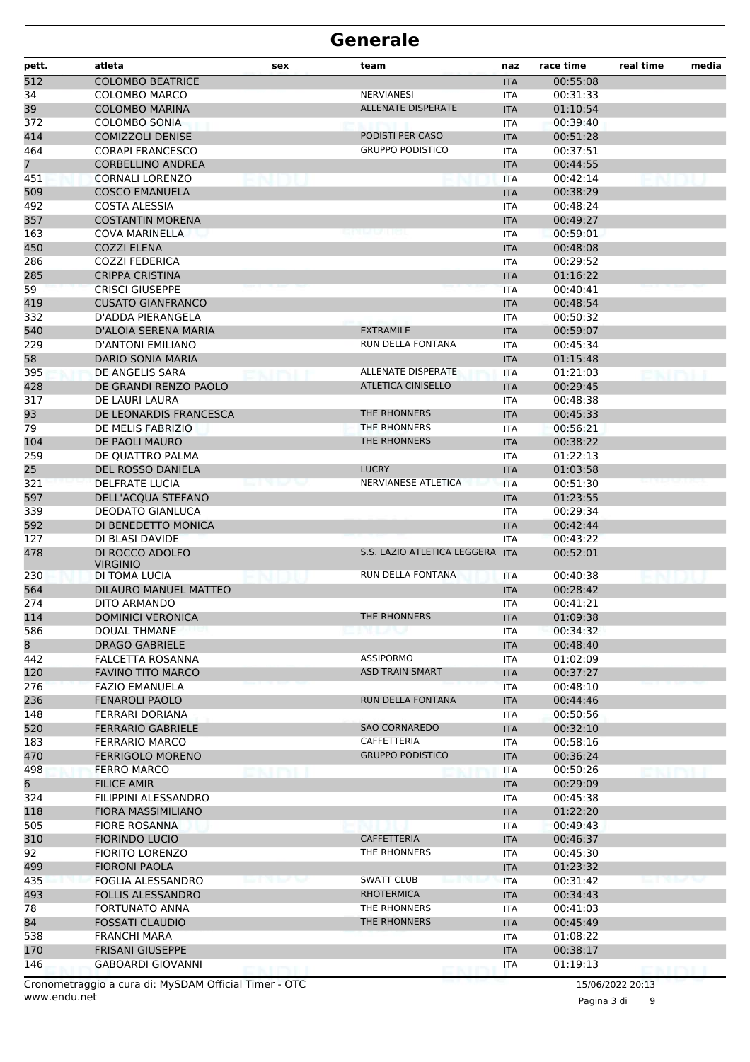| pett.          | atleta                                              | sex | team                            | naz               | race time            | real time | media |
|----------------|-----------------------------------------------------|-----|---------------------------------|-------------------|----------------------|-----------|-------|
| 512            | <b>COLOMBO BEATRICE</b>                             |     |                                 | <b>ITA</b>        | 00:55:08             |           |       |
| 34             | <b>COLOMBO MARCO</b>                                |     | <b>NERVIANESI</b>               | <b>ITA</b>        | 00:31:33             |           |       |
| 39             | <b>COLOMBO MARINA</b>                               |     | <b>ALLENATE DISPERATE</b>       | <b>ITA</b>        | 01:10:54             |           |       |
| 372            | <b>COLOMBO SONIA</b>                                |     |                                 | ITA               | 00:39:40             |           |       |
| 414            | <b>COMIZZOLI DENISE</b>                             |     | PODISTI PER CASO                | <b>ITA</b>        | 00:51:28             |           |       |
| 464            | <b>CORAPI FRANCESCO</b>                             |     | <b>GRUPPO PODISTICO</b>         | <b>ITA</b>        | 00:37:51             |           |       |
| 7 <sup>7</sup> | <b>CORBELLINO ANDREA</b>                            |     |                                 | <b>ITA</b>        | 00:44:55             |           |       |
| 451            | <b>CORNALI LORENZO</b>                              |     |                                 | <b>ITA</b>        | 00:42:14             |           |       |
| 509            | <b>COSCO EMANUELA</b>                               |     |                                 | <b>ITA</b>        | 00:38:29             |           |       |
| 492            | <b>COSTA ALESSIA</b>                                |     |                                 | ITA               | 00:48:24             |           |       |
| 357            | <b>COSTANTIN MORENA</b>                             |     |                                 | <b>ITA</b>        | 00:49:27             |           |       |
| 163            | <b>COVA MARINELLA</b>                               |     |                                 | ITA               | 00:59:01             |           |       |
| 450            | <b>COZZI ELENA</b>                                  |     |                                 | <b>ITA</b>        | 00:48:08             |           |       |
| 286            | <b>COZZI FEDERICA</b>                               |     |                                 | <b>ITA</b>        | 00:29:52             |           |       |
| 285            | <b>CRIPPA CRISTINA</b>                              |     |                                 | <b>ITA</b>        | 01:16:22             |           |       |
| 59             | <b>CRISCI GIUSEPPE</b>                              |     |                                 | ITA               | 00:40:41             |           |       |
| 419            | <b>CUSATO GIANFRANCO</b>                            |     |                                 | <b>ITA</b>        | 00:48:54             |           |       |
| 332            | D'ADDA PIERANGELA                                   |     |                                 | ITA               | 00:50:32             |           |       |
| 540            | D'ALOIA SERENA MARIA                                |     | <b>EXTRAMILE</b>                | <b>ITA</b>        | 00:59:07             |           |       |
| 229            | D'ANTONI EMILIANO                                   |     | RUN DELLA FONTANA               | <b>ITA</b>        | 00:45:34             |           |       |
| 58             | DARIO SONIA MARIA                                   |     |                                 | <b>ITA</b>        | 01:15:48             |           |       |
| 395            | DE ANGELIS SARA                                     |     | ALLENATE DISPERATE              | <b>ITA</b>        | 01:21:03             |           |       |
| 428            | DE GRANDI RENZO PAOLO                               |     | <b>ATLETICA CINISELLO</b>       | <b>ITA</b>        | 00:29:45             |           |       |
| 317            | DE LAURI LAURA                                      |     |                                 | ITA               | 00:48:38             |           |       |
| 93             | DE LEONARDIS FRANCESCA                              |     | THE RHONNERS                    | <b>ITA</b>        | 00:45:33             |           |       |
| 79             | DE MELIS FABRIZIO                                   |     | THE RHONNERS                    | <b>ITA</b>        | 00:56:21             |           |       |
| 104            | DE PAOLI MAURO                                      |     | THE RHONNERS                    | <b>ITA</b>        | 00:38:22             |           |       |
| 259            | DE QUATTRO PALMA                                    |     |                                 | <b>ITA</b>        | 01:22:13             |           |       |
| 25             | <b>DEL ROSSO DANIELA</b>                            |     | <b>LUCRY</b>                    | <b>ITA</b>        | 01:03:58             |           |       |
| 321            | <b>DELFRATE LUCIA</b>                               |     | NERVIANESE ATLETICA             | <b>ITA</b>        | 00:51:30             |           |       |
| 597            | DELL'ACQUA STEFANO                                  |     |                                 | <b>ITA</b>        | 01:23:55             |           |       |
| 339            | <b>DEODATO GIANLUCA</b><br>DI BENEDETTO MONICA      |     |                                 | <b>ITA</b>        | 00:29:34             |           |       |
| 592<br>127     | DI BLASI DAVIDE                                     |     |                                 | <b>ITA</b>        | 00:42:44<br>00:43:22 |           |       |
| 478            | DI ROCCO ADOLFO                                     |     | S.S. LAZIO ATLETICA LEGGERA ITA | <b>ITA</b>        | 00:52:01             |           |       |
|                | <b>VIRGINIO</b>                                     |     |                                 |                   |                      |           |       |
| 230            | DI TOMA LUCIA                                       |     | RUN DELLA FONTANA               | ITA               | 00:40:38             |           |       |
| 564            | DILAURO MANUEL MATTEO                               |     |                                 | <b>ITA</b>        | 00:28:42             |           |       |
| 274            | DITO ARMANDO                                        |     |                                 | <b>ITA</b>        | 00:41:21             |           |       |
| 114            | <b>DOMINICI VERONICA</b>                            |     | THE RHONNERS                    | <b>ITA</b>        | 01:09:38             |           |       |
| 586            | DOUAL THMANE                                        |     | emuv                            | ITA               | 00:34:32             |           |       |
| 8              | <b>DRAGO GABRIELE</b>                               |     |                                 | <b>ITA</b>        | 00:48:40             |           |       |
| 442            | <b>FALCETTA ROSANNA</b>                             |     | ASSIPORMO                       | <b>ITA</b>        | 01:02:09             |           |       |
| 120            | <b>FAVINO TITO MARCO</b>                            |     | <b>ASD TRAIN SMART</b>          | <b>ITA</b>        | 00:37:27             |           |       |
| 276            | <b>FAZIO EMANUELA</b>                               |     |                                 | <b>ITA</b>        | 00:48:10             |           |       |
| 236            | <b>FENAROLI PAOLO</b>                               |     | RUN DELLA FONTANA               | <b>ITA</b>        | 00:44:46             |           |       |
| 148            | FERRARI DORIANA                                     |     |                                 | ITA               | 00:50:56             |           |       |
| 520            | <b>FERRARIO GABRIELE</b>                            |     | <b>SAO CORNAREDO</b>            | <b>ITA</b>        | 00:32:10             |           |       |
| 183            | <b>FERRARIO MARCO</b>                               |     | CAFFETTERIA                     | ITA               | 00:58:16             |           |       |
| 470            | <b>FERRIGOLO MORENO</b>                             |     | <b>GRUPPO PODISTICO</b>         | <b>ITA</b>        | 00:36:24             |           |       |
| 498            | <b>FERRO MARCO</b>                                  |     |                                 | ITA               | 00:50:26             |           |       |
| 6              | <b>FILICE AMIR</b>                                  |     |                                 | <b>ITA</b>        | 00:29:09             |           |       |
| 324            | FILIPPINI ALESSANDRO                                |     |                                 | ITA               | 00:45:38             |           |       |
| 118            | <b>FIORA MASSIMILIANO</b>                           |     |                                 | <b>ITA</b>        | 01:22:20             |           |       |
| 505            | <b>FIORE ROSANNA</b>                                |     |                                 | ITA               | 00:49:43             |           |       |
| 310            | <b>FIORINDO LUCIO</b>                               |     | CAFFETTERIA                     | <b>ITA</b>        | 00:46:37             |           |       |
| 92             | <b>FIORITO LORENZO</b>                              |     | THE RHONNERS                    | ITA               | 00:45:30             |           |       |
| 499            | <b>FIORONI PAOLA</b>                                |     |                                 | <b>ITA</b>        | 01:23:32             |           |       |
| 435            | FOGLIA ALESSANDRO                                   |     | SWATT CLUB                      | <b>ITA</b>        | 00:31:42             |           |       |
| 493            | <b>FOLLIS ALESSANDRO</b>                            |     | <b>RHOTERMICA</b>               | <b>ITA</b>        | 00:34:43             |           |       |
| 78             | <b>FORTUNATO ANNA</b>                               |     | THE RHONNERS                    | ITA               | 00:41:03             |           |       |
| 84             | <b>FOSSATI CLAUDIO</b>                              |     | THE RHONNERS                    | <b>ITA</b>        | 00:45:49             |           |       |
| 538            | FRANCHI MARA                                        |     |                                 | ITA               | 01:08:22             |           |       |
| 170<br>146     | <b>FRISANI GIUSEPPE</b><br><b>GABOARDI GIOVANNI</b> |     |                                 | <b>ITA</b><br>ITA | 00:38:17<br>01:19:13 |           |       |
|                |                                                     |     |                                 |                   |                      |           |       |

www.endu.net Cronometraggio a cura di: MySDAM Official Timer - OTC 15/06/2022 20:13

Pagina 3 di 9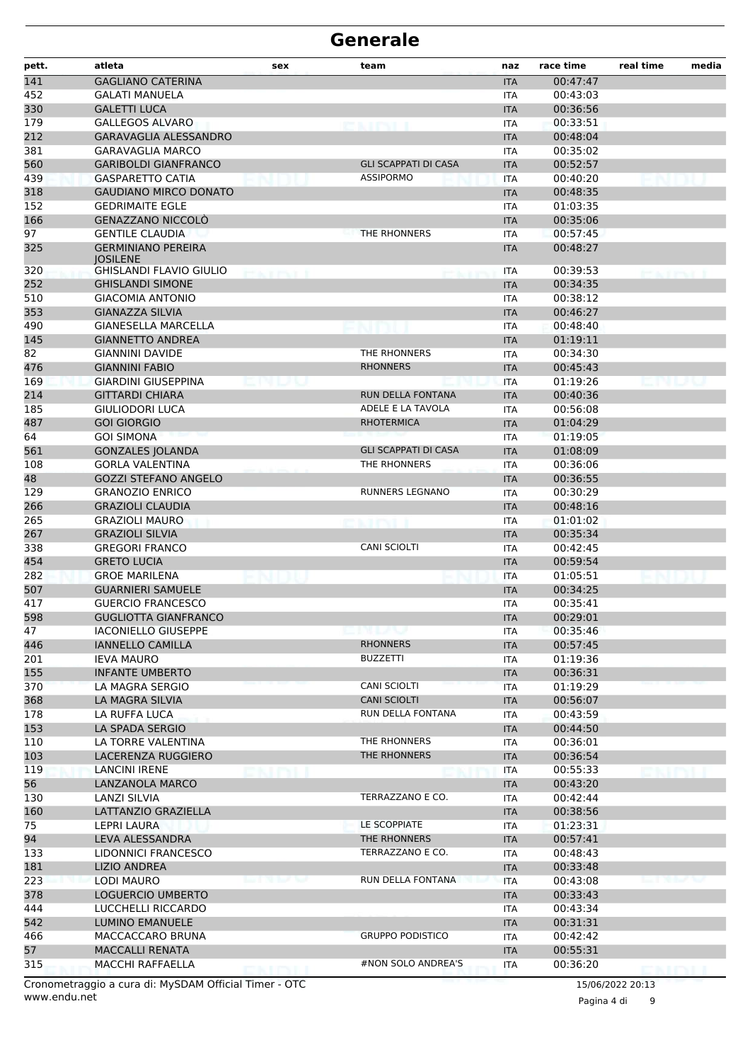| pett.    | atleta                                            | sex               | team                         | naz                      | race time            | real time | media |
|----------|---------------------------------------------------|-------------------|------------------------------|--------------------------|----------------------|-----------|-------|
| 141      | <b>GAGLIANO CATERINA</b>                          |                   |                              | <b>ITA</b>               | 00:47:47             |           |       |
| 452      | <b>GALATI MANUELA</b>                             |                   |                              | <b>ITA</b>               | 00:43:03             |           |       |
| 330      | <b>GALETTI LUCA</b>                               |                   |                              | <b>ITA</b>               | 00:36:56             |           |       |
| 179      | <b>GALLEGOS ALVARO</b>                            |                   | <b>ENTRI</b>                 | <b>ITA</b>               | 00:33:51             |           |       |
| 212      | <b>GARAVAGLIA ALESSANDRO</b>                      |                   |                              | <b>ITA</b>               | 00:48:04             |           |       |
| 381      | <b>GARAVAGLIA MARCO</b>                           |                   |                              | <b>ITA</b>               | 00:35:02             |           |       |
| 560      | <b>GARIBOLDI GIANFRANCO</b>                       |                   | <b>GLI SCAPPATI DI CASA</b>  | <b>ITA</b>               | 00:52:57             |           |       |
| 439      | <b>GASPARETTO CATIA</b>                           |                   | <b>ASSIPORMO</b>             | <b>ITA</b>               | 00:40:20             |           |       |
| 318      | <b>GAUDIANO MIRCO DONATO</b>                      |                   |                              | <b>ITA</b>               | 00:48:35             |           |       |
| 152      | <b>GEDRIMAITE EGLE</b>                            |                   |                              | <b>ITA</b>               | 01:03:35             |           |       |
| 166      | <b>GENAZZANO NICCOLO</b>                          |                   |                              | <b>ITA</b>               | 00:35:06             |           |       |
| 97       | <b>GENTILE CLAUDIA</b>                            |                   | THE RHONNERS                 | ITA                      | 00:57:45             |           |       |
| 325      | <b>GERMINIANO PEREIRA</b>                         |                   |                              | <b>ITA</b>               | 00:48:27             |           |       |
| 320      | <b>IOSILENE</b><br><b>GHISLANDI FLAVIO GIULIO</b> |                   |                              | <b>ITA</b>               | 00:39:53             |           |       |
| 252      | <b>GHISLANDI SIMONE</b>                           |                   |                              | <b>ITA</b>               | 00:34:35             |           |       |
| 510      | <b>GIACOMIA ANTONIO</b>                           |                   |                              | ITA                      | 00:38:12             |           |       |
| 353      | <b>GIANAZZA SILVIA</b>                            |                   |                              | <b>ITA</b>               | 00:46:27             |           |       |
| 490      | <b>GIANESELLA MARCELLA</b>                        |                   |                              | <b>ITA</b>               | 00:48:40             |           |       |
| 145      | <b>GIANNETTO ANDREA</b>                           |                   |                              | <b>ITA</b>               | 01:19:11             |           |       |
| 82       | <b>GIANNINI DAVIDE</b>                            |                   | THE RHONNERS                 | <b>ITA</b>               | 00:34:30             |           |       |
| 476      | <b>GIANNINI FABIO</b>                             |                   | <b>RHONNERS</b>              | <b>ITA</b>               | 00:45:43             |           |       |
| 169      | <b>GIARDINI GIUSEPPINA</b>                        |                   |                              | <b>ITA</b>               | 01:19:26             |           |       |
| 214      | <b>GITTARDI CHIARA</b>                            |                   | RUN DELLA FONTANA            | <b>ITA</b>               | 00:40:36             |           |       |
| 185      | <b>GIULIODORI LUCA</b>                            |                   | ADELE E LA TAVOLA            | <b>ITA</b>               | 00:56:08             |           |       |
| 487      | <b>GOI GIORGIO</b>                                |                   | <b>RHOTERMICA</b>            | <b>ITA</b>               | 01:04:29             |           |       |
| 64       | <b>GOI SIMONA</b>                                 |                   |                              | <b>ITA</b>               | 01:19:05             |           |       |
| 561      | <b>GONZALES JOLANDA</b>                           |                   | <b>GLI SCAPPATI DI CASA</b>  | <b>ITA</b>               | 01:08:09             |           |       |
| 108      | <b>GORLA VALENTINA</b>                            |                   | THE RHONNERS                 | <b>ITA</b>               | 00:36:06             |           |       |
| 48       | <b>GOZZI STEFANO ANGELO</b>                       |                   |                              | <b>ITA</b>               | 00:36:55             |           |       |
| 129      | <b>GRANOZIO ENRICO</b>                            |                   | <b>RUNNERS LEGNANO</b>       | <b>ITA</b>               | 00:30:29             |           |       |
| 266      | <b>GRAZIOLI CLAUDIA</b>                           |                   |                              | <b>ITA</b>               | 00:48:16             |           |       |
| 265      | <b>GRAZIOLI MAURO</b>                             |                   |                              | <b>ITA</b>               | 01:01:02             |           |       |
| 267      | <b>GRAZIOLI SILVIA</b>                            |                   |                              | <b>ITA</b>               | 00:35:34             |           |       |
| 338      | <b>GREGORI FRANCO</b>                             |                   | <b>CANI SCIOLTI</b>          | ITA                      | 00:42:45             |           |       |
| 454      | <b>GRETO LUCIA</b>                                |                   |                              | <b>ITA</b>               | 00:59:54             |           |       |
| 282      | <b>GROE MARILENA</b>                              |                   |                              | <b>ITA</b>               | 01:05:51             |           |       |
| 507      | <b>GUARNIERI SAMUELE</b>                          |                   |                              | <b>ITA</b>               | 00:34:25             |           |       |
| 417      | <b>GUERCIO FRANCESCO</b>                          |                   |                              | <b>ITA</b>               | 00:35:41             |           |       |
| 598      | <b>GUGLIOTTA GIANFRANCO</b>                       |                   |                              | <b>ITA</b>               | 00:29:01             |           |       |
| 47       | <b>IACONIELLO GIUSEPPE</b>                        |                   | unu la U                     | ITA                      | 00:35:46             |           |       |
| 446      | <b>IANNELLO CAMILLA</b>                           |                   | <b>RHONNERS</b>              | <b>ITA</b>               | 00:57:45             |           |       |
| 201      | <b>IEVA MAURO</b>                                 |                   | <b>BUZZETTI</b>              | <b>ITA</b>               | 01:19:36             |           |       |
| 155      | <b>INFANTE UMBERTO</b>                            |                   |                              | <b>ITA</b>               | 00:36:31             |           |       |
| 370      | LA MAGRA SERGIO                                   |                   | CANI SCIOLTI                 | <b>ITA</b>               | 01:19:29             |           |       |
| 368      | LA MAGRA SILVIA                                   |                   | <b>CANI SCIOLTI</b>          | <b>ITA</b>               | 00:56:07             |           |       |
| 178      | LA RUFFA LUCA                                     |                   | RUN DELLA FONTANA            | ITA                      | 00:43:59             |           |       |
| 153      | LA SPADA SERGIO                                   |                   |                              | <b>ITA</b>               | 00:44:50             |           |       |
| 110      | LA TORRE VALENTINA                                |                   | THE RHONNERS                 | ITA                      | 00:36:01             |           |       |
| 103      | LACERENZA RUGGIERO                                |                   | THE RHONNERS                 | <b>ITA</b>               | 00:36:54             |           |       |
| 119      | LANCINI IRENE                                     |                   |                              | ITA                      | 00:55:33             |           |       |
| 56       | LANZANOLA MARCO                                   |                   |                              | <b>ITA</b>               | 00:43:20             |           |       |
| 130      | LANZI SILVIA                                      |                   | TERRAZZANO E CO.             | ITA                      | 00:42:44             |           |       |
| 160      | LATTANZIO GRAZIELLA                               |                   |                              | <b>ITA</b>               | 00:38:56             |           |       |
| 75<br>94 | LEPRI LAURA                                       |                   | LE SCOPPIATE<br>THE RHONNERS | <b>ITA</b>               | 01:23:31<br>00:57:41 |           |       |
| 133      | LEVA ALESSANDRA<br>LIDONNICI FRANCESCO            |                   | TERRAZZANO E CO.             | <b>ITA</b>               | 00:48:43             |           |       |
| 181      | <b>LIZIO ANDREA</b>                               |                   |                              | ITA                      | 00:33:48             |           |       |
| 223      | LODI MAURO                                        | en 1000 Text Text | RUN DELLA FONTANA            | <b>ITA</b>               | 00:43:08             |           |       |
| 378      | LOGUERCIO UMBERTO                                 |                   |                              | <b>ITA</b><br><b>ITA</b> | 00:33:43             |           |       |
| 444      | LUCCHELLI RICCARDO                                |                   |                              | ITA                      | 00:43:34             |           |       |
| 542      | <b>LUMINO EMANUELE</b>                            |                   |                              | <b>ITA</b>               | 00:31:31             |           |       |
| 466      | MACCACCARO BRUNA                                  |                   | <b>GRUPPO PODISTICO</b>      | ITA                      | 00:42:42             |           |       |
| 57       | <b>MACCALLI RENATA</b>                            |                   |                              | <b>ITA</b>               | 00:55:31             |           |       |
| 315      | MACCHI RAFFAELLA                                  |                   | #NON SOLO ANDREA'S           | ITA                      | 00:36:20             |           |       |
|          |                                                   |                   |                              |                          |                      |           |       |

www.endu.net Cronometraggio a cura di: MySDAM Official Timer - OTC 15/06/2022 20:13

Pagina 4 di 9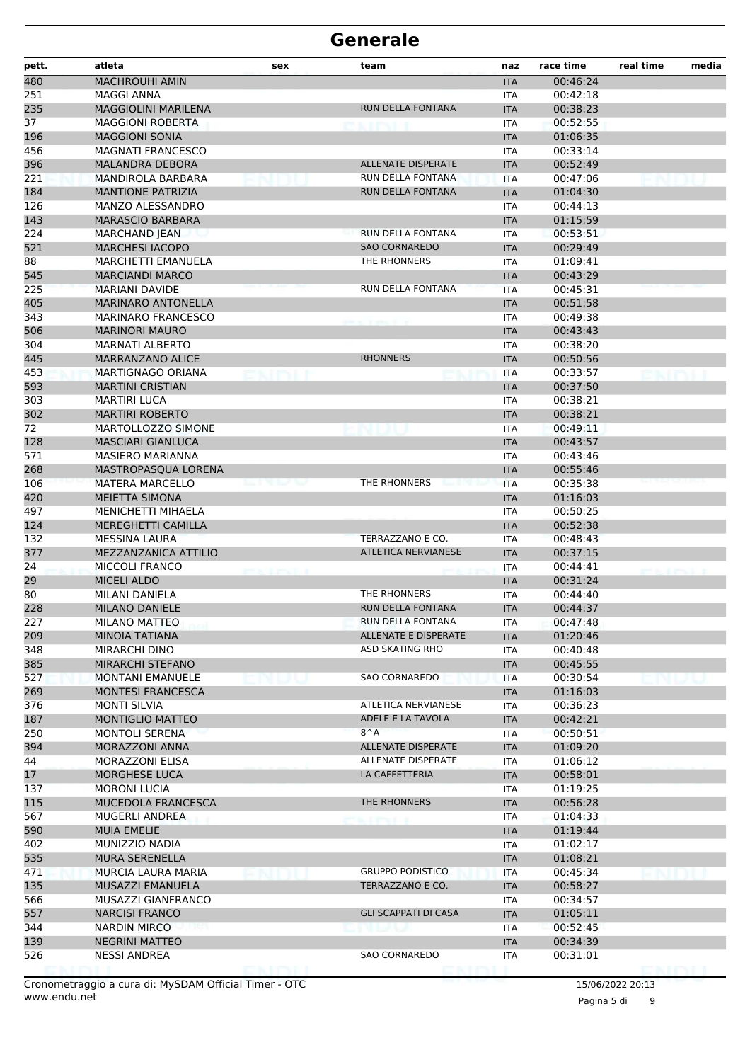| pett.     | atleta                                  | sex | team                        | naz                      | race time            | real time | media |
|-----------|-----------------------------------------|-----|-----------------------------|--------------------------|----------------------|-----------|-------|
| 480       | <b>MACHROUHI AMIN</b>                   |     |                             | <b>ITA</b>               | 00:46:24             |           |       |
| 251       | <b>MAGGI ANNA</b>                       |     |                             | <b>ITA</b>               | 00:42:18             |           |       |
| 235       | <b>MAGGIOLINI MARILENA</b>              |     | RUN DELLA FONTANA           | <b>ITA</b>               | 00:38:23             |           |       |
| 37        | <b>MAGGIONI ROBERTA</b>                 |     |                             | <b>ITA</b>               | 00:52:55             |           |       |
| 196       | <b>MAGGIONI SONIA</b>                   |     |                             | <b>ITA</b>               | 01:06:35             |           |       |
| 456       | <b>MAGNATI FRANCESCO</b>                |     |                             | ITA                      | 00:33:14             |           |       |
| 396       | <b>MALANDRA DEBORA</b>                  |     | <b>ALLENATE DISPERATE</b>   | <b>ITA</b>               | 00:52:49             |           |       |
| 221       | MANDIROLA BARBARA                       |     | RUN DELLA FONTANA           | <b>ITA</b>               | 00:47:06             |           |       |
| 184       | <b>MANTIONE PATRIZIA</b>                |     | RUN DELLA FONTANA           | <b>ITA</b>               | 01:04:30             |           |       |
| 126       | MANZO ALESSANDRO                        |     |                             | <b>ITA</b>               | 00:44:13             |           |       |
| 143       | <b>MARASCIO BARBARA</b>                 |     |                             | <b>ITA</b>               | 01:15:59             |           |       |
| 224       | <b>MARCHAND JEAN</b>                    |     | RUN DELLA FONTANA           | ITA                      | 00:53:51             |           |       |
| 521       | <b>MARCHESI IACOPO</b>                  |     | <b>SAO CORNAREDO</b>        | <b>ITA</b>               | 00:29:49             |           |       |
| 88        | <b>MARCHETTI EMANUELA</b>               |     | THE RHONNERS                | <b>ITA</b>               | 01:09:41             |           |       |
| 545       | <b>MARCIANDI MARCO</b>                  |     |                             | <b>ITA</b>               | 00:43:29             |           |       |
| 225       | <b>MARIANI DAVIDE</b>                   |     | RUN DELLA FONTANA           | <b>ITA</b>               | 00:45:31             |           |       |
| 405       | <b>MARINARO ANTONELLA</b>               |     |                             | <b>ITA</b>               | 00:51:58             |           |       |
| 343       | <b>MARINARO FRANCESCO</b>               |     |                             | ITA                      | 00:49:38             |           |       |
| 506       | <b>MARINORI MAURO</b>                   |     |                             | <b>ITA</b>               | 00:43:43             |           |       |
| 304       | <b>MARNATI ALBERTO</b>                  |     |                             | <b>ITA</b>               | 00:38:20             |           |       |
| 445       | <b>MARRANZANO ALICE</b>                 |     | <b>RHONNERS</b>             | <b>ITA</b>               | 00:50:56             |           |       |
| 453       | MARTIGNAGO ORIANA                       |     |                             | <b>ITA</b>               | 00:33:57             |           |       |
| 593       | <b>MARTINI CRISTIAN</b>                 |     |                             | <b>ITA</b>               | 00:37:50             |           |       |
| 303       | <b>MARTIRI LUCA</b>                     |     |                             | ITA                      | 00:38:21             |           |       |
| 302       | <b>MARTIRI ROBERTO</b>                  |     |                             | <b>ITA</b>               | 00:38:21             |           |       |
| 72        | MARTOLLOZZO SIMONE                      |     |                             | ITA                      | 00:49:11             |           |       |
| 128       | <b>MASCIARI GIANLUCA</b>                |     |                             | <b>ITA</b>               | 00:43:57             |           |       |
| 571       | <b>MASIERO MARIANNA</b>                 |     |                             | <b>ITA</b>               | 00:43:46             |           |       |
| 268       | MASTROPASQUA LORENA                     |     |                             | <b>ITA</b>               | 00:55:46             |           |       |
| 106       | <b>MATERA MARCELLO</b>                  |     | THE RHONNERS                | <b>ITA</b>               | 00:35:38             |           |       |
| 420       | <b>MEIETTA SIMONA</b>                   |     |                             | <b>ITA</b>               | 01:16:03             |           |       |
| 497       | <b>MENICHETTI MIHAELA</b>               |     |                             | <b>ITA</b>               | 00:50:25             |           |       |
| 124       | <b>MEREGHETTI CAMILLA</b>               |     |                             | <b>ITA</b>               | 00:52:38             |           |       |
| 132       | <b>MESSINA LAURA</b>                    |     | TERRAZZANO E CO.            | <b>ITA</b>               | 00:48:43             |           |       |
| 377       | MEZZANZANICA ATTILIO                    |     | <b>ATLETICA NERVIANESE</b>  | <b>ITA</b>               | 00:37:15             |           |       |
| 24        | <b>MICCOLI FRANCO</b>                   |     |                             | <b>ITA</b>               | 00:44:41             |           |       |
| 29        | <b>MICELI ALDO</b>                      |     | THE RHONNERS                | <b>ITA</b>               | 00:31:24             |           |       |
| 80<br>228 | MILANI DANIELA<br><b>MILANO DANIELE</b> |     | RUN DELLA FONTANA           | <b>ITA</b>               | 00:44:40<br>00:44:37 |           |       |
| 227       | MILANO MATTEO                           |     | RUN DELLA FONTANA           | <b>ITA</b><br><b>ITA</b> | 00:47:48             |           |       |
| 209       | MINOIA TATIANA                          |     | ALLENATE E DISPERATE        |                          | 01:20:46             |           |       |
| 348       | MIRARCHI DINO                           |     | <b>ASD SKATING RHO</b>      | <b>ITA</b><br>ITA        | 00:40:48             |           |       |
| 385       | <b>MIRARCHI STEFANO</b>                 |     |                             | <b>ITA</b>               | 00:45:55             |           |       |
| 527       | <b>MONTANI EMANUELE</b>                 |     | SAO CORNAREDO               | <b>ITA</b>               | 00:30:54             |           |       |
| 269       | <b>MONTESI FRANCESCA</b>                |     |                             | <b>ITA</b>               | 01:16:03             |           |       |
| 376       | <b>MONTI SILVIA</b>                     |     | ATLETICA NERVIANESE         | ITA                      | 00:36:23             |           |       |
| 187       | <b>MONTIGLIO MATTEO</b>                 |     | ADELE E LA TAVOLA           | <b>ITA</b>               | 00:42:21             |           |       |
| 250       | <b>MONTOLI SERENA</b>                   |     | $8^A$                       | <b>ITA</b>               | 00:50:51             |           |       |
| 394       | MORAZZONI ANNA                          |     | ALLENATE DISPERATE          | <b>ITA</b>               | 01:09:20             |           |       |
| 44        | MORAZZONI ELISA                         |     | ALLENATE DISPERATE          | <b>ITA</b>               | 01:06:12             |           |       |
| 17        | MORGHESE LUCA                           |     | LA CAFFETTERIA              | <b>ITA</b>               | 00:58:01             |           |       |
| 137       | <b>MORONI LUCIA</b>                     |     |                             | ITA                      | 01:19:25             |           |       |
| 115       | MUCEDOLA FRANCESCA                      |     | THE RHONNERS                | <b>ITA</b>               | 00:56:28             |           |       |
| 567       | MUGERLI ANDREA                          |     | $T$ $T$ $T$ $T$ $T$         | ITA                      | 01:04:33             |           |       |
| 590       | <b>MUIA EMELIE</b>                      |     |                             | <b>ITA</b>               | 01:19:44             |           |       |
| 402       | MUNIZZIO NADIA                          |     |                             | ITA                      | 01:02:17             |           |       |
| 535       | <b>MURA SERENELLA</b>                   |     |                             | <b>ITA</b>               | 01:08:21             |           |       |
| 471       | MURCIA LAURA MARIA                      |     | <b>GRUPPO PODISTICO</b>     | ITA                      | 00:45:34             |           |       |
| 135       | MUSAZZI EMANUELA                        |     | TERRAZZANO E CO.            | <b>ITA</b>               | 00:58:27             |           |       |
| 566       | MUSAZZI GIANFRANCO                      |     |                             | ITA                      | 00:34:57             |           |       |
| 557       | <b>NARCISI FRANCO</b>                   |     | <b>GLI SCAPPATI DI CASA</b> | <b>ITA</b>               | 01:05:11             |           |       |
| 344       | <b>NARDIN MIRCO</b>                     |     |                             | ITA                      | 00:52:45             |           |       |
| 139       | <b>NEGRINI MATTEO</b>                   |     |                             | <b>ITA</b>               | 00:34:39             |           |       |
| 526       | <b>NESSI ANDREA</b>                     |     | SAO CORNAREDO               | ITA                      | 00:31:01             |           |       |
|           |                                         |     |                             |                          |                      |           |       |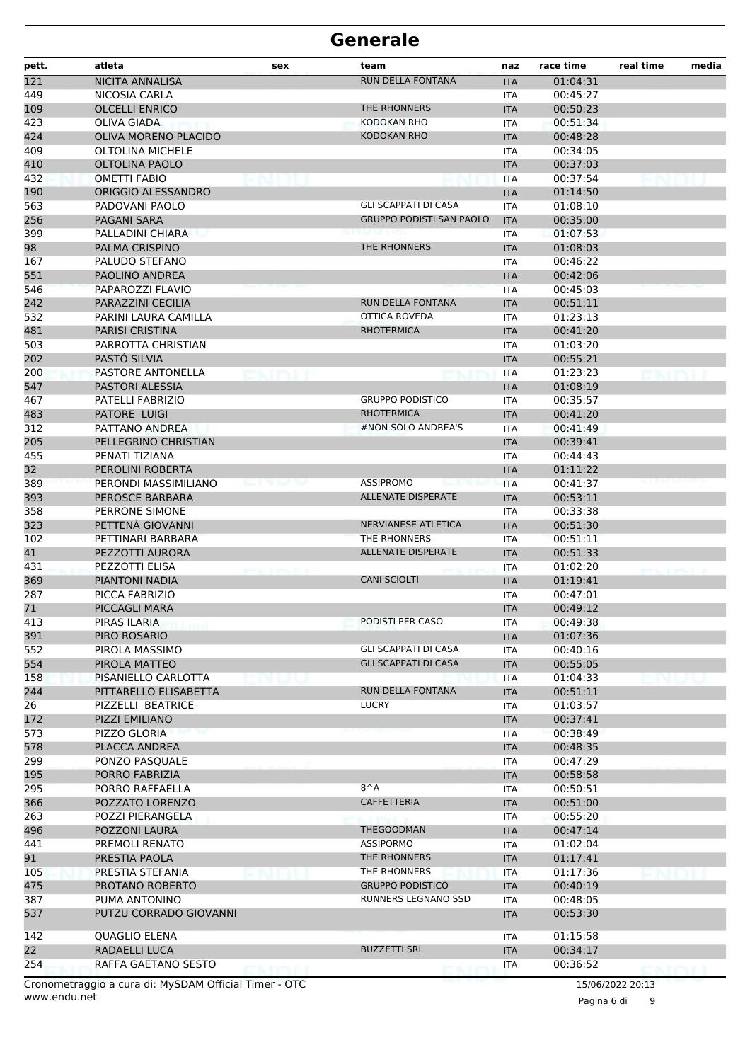| pett.      | atleta                                   | sex           | team                            | naz               | race time            | real time | media |
|------------|------------------------------------------|---------------|---------------------------------|-------------------|----------------------|-----------|-------|
| 121        | <b>NICITA ANNALISA</b>                   |               | RUN DELLA FONTANA               | <b>ITA</b>        | 01:04:31             |           |       |
| 449        | NICOSIA CARLA                            |               |                                 | <b>ITA</b>        | 00:45:27             |           |       |
| 109        | <b>OLCELLI ENRICO</b>                    |               | THE RHONNERS                    | <b>ITA</b>        | 00:50:23             |           |       |
| 423        | OLIVA GIADA                              |               | KODOKAN RHO                     | ITA               | 00:51:34             |           |       |
| 424        | OLIVA MORENO PLACIDO                     |               | <b>KODOKAN RHO</b>              | <b>ITA</b>        | 00:48:28             |           |       |
| 409        | <b>OLTOLINA MICHELE</b>                  |               |                                 | ITA               | 00:34:05             |           |       |
| 410        | <b>OLTOLINA PAOLO</b>                    |               |                                 | <b>ITA</b>        | 00:37:03             |           |       |
| 432        | <b>OMETTI FABIO</b>                      |               |                                 | <b>ITA</b>        | 00:37:54             |           |       |
| 190        | ORIGGIO ALESSANDRO                       |               |                                 | <b>ITA</b>        | 01:14:50             |           |       |
| 563        | PADOVANI PAOLO                           |               | <b>GLI SCAPPATI DI CASA</b>     | ITA               | 01:08:10             |           |       |
| 256        | PAGANI SARA                              |               | <b>GRUPPO PODISTI SAN PAOLO</b> | <b>ITA</b>        | 00:35:00             |           |       |
| 399        | PALLADINI CHIARA                         |               |                                 | ITA               | 01:07:53             |           |       |
| 98         | PALMA CRISPINO                           |               | THE RHONNERS                    | <b>ITA</b>        | 01:08:03             |           |       |
| 167        | PALUDO STEFANO                           |               |                                 | ITA               | 00:46:22             |           |       |
| 551        | PAOLINO ANDREA                           |               |                                 | <b>ITA</b>        | 00:42:06             |           |       |
| 546        | PAPAROZZI FLAVIO                         |               |                                 | ITA               | 00:45:03             |           |       |
| 242        | PARAZZINI CECILIA                        |               | <b>RUN DELLA FONTANA</b>        | <b>ITA</b>        | 00:51:11             |           |       |
| 532        | PARINI LAURA CAMILLA                     |               | OTTICA ROVEDA                   | ITA               | 01:23:13             |           |       |
| 481        | <b>PARISI CRISTINA</b>                   |               | <b>RHOTERMICA</b>               | <b>ITA</b>        | 00:41:20             |           |       |
| 503        | PARROTTA CHRISTIAN                       |               |                                 | ITA               | 01:03:20             |           |       |
| 202        | PASTÓ SILVIA                             |               |                                 | <b>ITA</b>        | 00:55:21             |           |       |
| 200        | PASTORE ANTONELLA                        |               |                                 | ITA               | 01:23:23             |           |       |
| 547        | PASTORI ALESSIA                          |               |                                 | <b>ITA</b>        | 01:08:19             |           |       |
| 467        | PATELLI FABRIZIO                         |               | <b>GRUPPO PODISTICO</b>         | <b>ITA</b>        | 00:35:57             |           |       |
| 483        | PATORE LUIGI                             |               | <b>RHOTERMICA</b>               | <b>ITA</b>        | 00:41:20             |           |       |
| 312        | PATTANO ANDREA                           |               | #NON SOLO ANDREA'S              | ITA               | 00:41:49             |           |       |
| 205        | PELLEGRINO CHRISTIAN                     |               |                                 | <b>ITA</b>        | 00:39:41             |           |       |
| 455        | PENATI TIZIANA                           |               |                                 | ITA               | 00:44:43             |           |       |
| 32         | PEROLINI ROBERTA<br>PERONDI MASSIMILIANO | <b>BAR</b> BA | <b>ASSIPROMO</b>                | <b>ITA</b>        | 01:11:22             |           |       |
| 389<br>393 | PEROSCE BARBARA                          |               | <b>ALLENATE DISPERATE</b>       | <b>ITA</b>        | 00:41:37<br>00:53:11 |           |       |
| 358        | PERRONE SIMONE                           |               |                                 | <b>ITA</b>        | 00:33:38             |           |       |
| 323        | PETTENÀ GIOVANNI                         |               | NERVIANESE ATLETICA             | ITA<br><b>ITA</b> | 00:51:30             |           |       |
| 102        | PETTINARI BARBARA                        |               | THE RHONNERS                    | ITA               | 00:51:11             |           |       |
| 41         | PEZZOTTI AURORA                          |               | <b>ALLENATE DISPERATE</b>       | <b>ITA</b>        | 00:51:33             |           |       |
| 431        | PEZZOTTI ELISA                           |               |                                 | ITA               | 01:02:20             |           |       |
| 369        | PIANTONI NADIA                           |               | <b>CANI SCIOLTI</b>             | <b>ITA</b>        | 01:19:41             |           |       |
| 287        | PICCA FABRIZIO                           |               |                                 | ITA               | 00:47:01             |           |       |
| 71         | PICCAGLI MARA                            |               |                                 | <b>ITA</b>        | 00:49:12             |           |       |
| 413        | PIRAS ILARIA                             |               | PODISTI PER CASO                | ITA               | 00:49:38             |           |       |
| 391        | PIRO ROSARIO                             |               |                                 | <b>ITA</b>        | 01:07:36             |           |       |
| 552        | PIROLA MASSIMO                           |               | <b>GLI SCAPPATI DI CASA</b>     | ITA               | 00:40:16             |           |       |
| 554        | PIROLA MATTEO                            |               | <b>GLI SCAPPATI DI CASA</b>     | <b>ITA</b>        | 00:55:05             |           |       |
| 158        | PISANIELLO CARLOTTA                      |               |                                 | <b>ITA</b>        | 01:04:33             |           |       |
| 244        | PITTARELLO ELISABETTA                    |               | RUN DELLA FONTANA               | <b>ITA</b>        | 00:51:11             |           |       |
| 26         | PIZZELLI BEATRICE                        |               | <b>LUCRY</b>                    | ITA               | 01:03:57             |           |       |
| 172        | PIZZI EMILIANO                           |               |                                 | <b>ITA</b>        | 00:37:41             |           |       |
| 573        | <b>PIZZO GLORIA</b>                      |               |                                 | ITA               | 00:38:49             |           |       |
| 578        | PLACCA ANDREA                            |               |                                 | <b>ITA</b>        | 00:48:35             |           |       |
| 299        | PONZO PASOUALE                           |               |                                 | ITA               | 00:47:29             |           |       |
| 195        | PORRO FABRIZIA                           |               |                                 | <b>ITA</b>        | 00:58:58             |           |       |
| 295        | PORRO RAFFAELLA                          |               | $8^A$                           | ITA               | 00:50:51             |           |       |
| 366        | POZZATO LORENZO                          |               | <b>CAFFETTERIA</b>              | <b>ITA</b>        | 00:51:00             |           |       |
| 263        | POZZI PIERANGELA                         |               |                                 | ITA               | 00:55:20             |           |       |
| 496        | POZZONI LAURA                            |               | THEGOODMAN                      | <b>ITA</b>        | 00:47:14             |           |       |
| 441        | PREMOLI RENATO                           |               | ASSIPORMO                       | ITA               | 01:02:04             |           |       |
| 91         | PRESTIA PAOLA                            |               | THE RHONNERS                    | <b>ITA</b>        | 01:17:41             |           |       |
| 105        | PRESTIA STEFANIA                         |               | THE RHONNERS                    | <b>ITA</b>        | 01:17:36             |           |       |
| 475        | PROTANO ROBERTO                          |               | <b>GRUPPO PODISTICO</b>         | <b>ITA</b>        | 00:40:19             |           |       |
| 387        | PUMA ANTONINO                            |               | RUNNERS LEGNANO SSD             | ITA               | 00:48:05             |           |       |
| 537        | PUTZU CORRADO GIOVANNI                   |               |                                 | <b>ITA</b>        | 00:53:30             |           |       |
| 142        | <b>QUAGLIO ELENA</b>                     |               |                                 |                   | 01:15:58             |           |       |
| 22         | RADAELLI LUCA                            |               | <b>BUZZETTI SRL</b>             | ITA<br><b>ITA</b> | 00:34:17             |           |       |
| 254        | RAFFA GAETANO SESTO                      |               |                                 | <b>ITA</b>        | 00:36:52             |           |       |
|            |                                          |               |                                 |                   |                      |           |       |

www.endu.net Cronometraggio a cura di: MySDAM Official Timer - OTC 15/06/2022 20:13

Pagina 6 di 9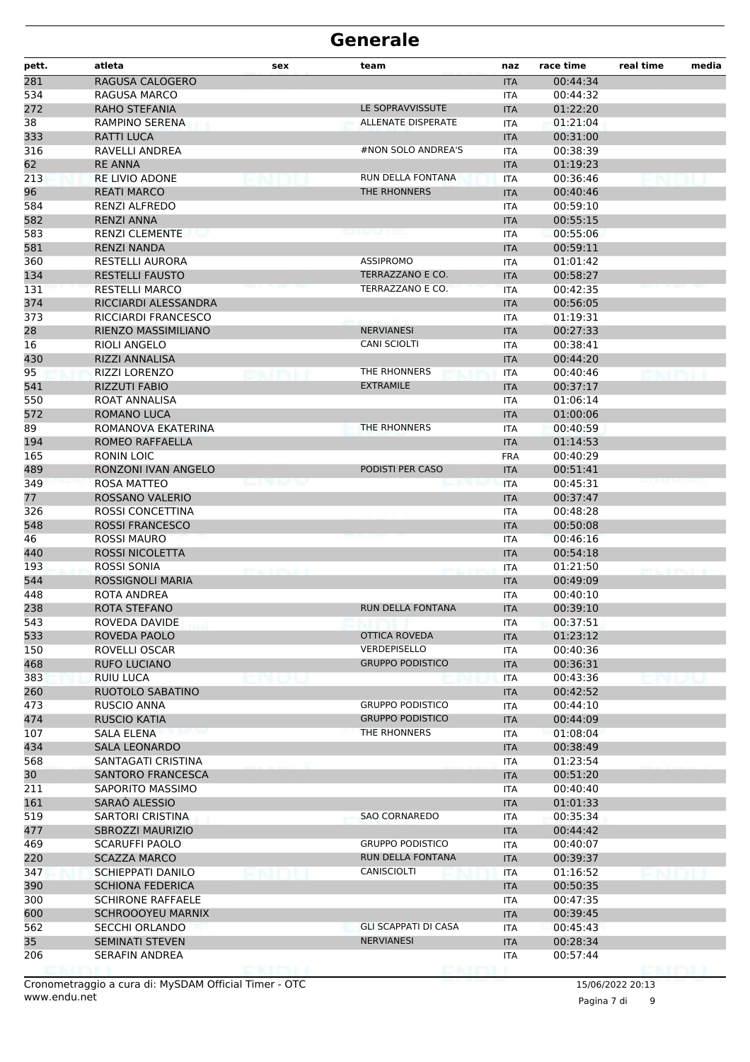| pett. | atleta                   | sex          | team                        | naz        | race time | real time     | media |
|-------|--------------------------|--------------|-----------------------------|------------|-----------|---------------|-------|
| 281   | RAGUSA CALOGERO          |              |                             | <b>ITA</b> | 00:44:34  |               |       |
| 534   | RAGUSA MARCO             |              |                             | <b>ITA</b> | 00:44:32  |               |       |
| 272   | <b>RAHO STEFANIA</b>     |              | LE SOPRAVVISSUTE            | <b>ITA</b> | 01:22:20  |               |       |
| 38    | <b>RAMPINO SERENA</b>    |              | <b>ALLENATE DISPERATE</b>   | <b>ITA</b> | 01:21:04  |               |       |
| 333   | <b>RATTI LUCA</b>        |              |                             | <b>ITA</b> | 00:31:00  |               |       |
| 316   | RAVELLI ANDREA           |              | #NON SOLO ANDREA'S          | ITA        | 00:38:39  |               |       |
| 62    | <b>RE ANNA</b>           |              |                             | <b>ITA</b> | 01:19:23  |               |       |
| 213   | <b>RE LIVIO ADONE</b>    | na i         | RUN DELLA FONTANA           | <b>ITA</b> | 00:36:46  |               |       |
| 96    | <b>REATI MARCO</b>       |              | THE RHONNERS                | <b>ITA</b> | 00:40:46  |               |       |
| 584   | RENZI ALFREDO            |              |                             | <b>ITA</b> | 00:59:10  |               |       |
| 582   | <b>RENZI ANNA</b>        |              |                             | <b>ITA</b> | 00:55:15  |               |       |
| 583   | <b>RENZI CLEMENTE</b>    |              | on de velle est             | ITA        | 00:55:06  |               |       |
| 581   | <b>RENZI NANDA</b>       |              |                             | <b>ITA</b> | 00:59:11  |               |       |
| 360   | RESTELLI AURORA          |              | ASSIPROMO                   | <b>ITA</b> | 01:01:42  |               |       |
| 134   | <b>RESTELLI FAUSTO</b>   |              | TERRAZZANO E CO.            | <b>ITA</b> | 00:58:27  |               |       |
| 131   | <b>RESTELLI MARCO</b>    |              | TERRAZZANO E CO.            | <b>ITA</b> | 00:42:35  |               |       |
| 374   | RICCIARDI ALESSANDRA     |              |                             | <b>ITA</b> | 00:56:05  |               |       |
| 373   | RICCIARDI FRANCESCO      |              |                             | ITA        | 01:19:31  |               |       |
| 28    | RIENZO MASSIMILIANO      |              | <b>NERVIANESI</b>           | <b>ITA</b> | 00:27:33  |               |       |
| 16    | RIOLI ANGELO             |              | CANI SCIOLTI                | <b>ITA</b> | 00:38:41  |               |       |
| 430   | RIZZI ANNALISA           |              |                             | <b>ITA</b> | 00:44:20  |               |       |
| 95    | <b>RIZZI LORENZO</b>     |              | THE RHONNERS                | <b>ITA</b> | 00:40:46  |               |       |
| 541   | <b>RIZZUTI FABIO</b>     |              | <b>EXTRAMILE</b>            | <b>ITA</b> | 00:37:17  |               |       |
| 550   | ROAT ANNALISA            |              |                             | ITA        | 01:06:14  |               |       |
| 572   | ROMANO LUCA              |              |                             | <b>ITA</b> | 01:00:06  |               |       |
| 89    | ROMANOVA EKATERINA       |              | THE RHONNERS                | <b>ITA</b> | 00:40:59  |               |       |
| 194   | <b>ROMEO RAFFAELLA</b>   |              |                             | <b>ITA</b> | 01:14:53  |               |       |
| 165   | RONIN LOIC               |              |                             | <b>FRA</b> | 00:40:29  |               |       |
| 489   | RONZONI IVAN ANGELO      |              | PODISTI PER CASO            | <b>ITA</b> | 00:51:41  |               |       |
| 349   | ROSA MATTEO              | en de les de |                             | ITA        | 00:45:31  |               |       |
| 77    | ROSSANO VALERIO          |              |                             | <b>ITA</b> | 00:37:47  |               |       |
| 326   | ROSSI CONCETTINA         |              |                             | <b>ITA</b> | 00:48:28  |               |       |
| 548   | <b>ROSSI FRANCESCO</b>   |              |                             | <b>ITA</b> | 00:50:08  |               |       |
| 46    | ROSSI MAURO              |              |                             | <b>ITA</b> | 00:46:16  |               |       |
| 440   | ROSSI NICOLETTA          |              |                             | <b>ITA</b> | 00:54:18  |               |       |
| 193   | ROSSI SONIA              |              |                             | ITA        | 01:21:50  | <b>MACEMA</b> |       |
| 544   | <b>ROSSIGNOLI MARIA</b>  |              |                             | <b>ITA</b> | 00:49:09  |               |       |
| 448   | ROTA ANDREA              |              |                             | <b>ITA</b> | 00:40:10  |               |       |
| 238   | ROTA STEFANO             |              | RUN DELLA FONTANA           | <b>ITA</b> | 00:39:10  |               |       |
| 543   | ROVEDA DAVIDE            |              |                             | <b>ITA</b> | 00:37:51  |               |       |
| 533   | ROVEDA PAOLO             |              | OTTICA ROVEDA               | <b>ITA</b> | 01:23:12  |               |       |
| 150   | ROVELLI OSCAR            |              | <b>VERDEPISELLO</b>         | <b>ITA</b> | 00:40:36  |               |       |
| 468   | <b>RUFO LUCIANO</b>      |              | <b>GRUPPO PODISTICO</b>     | <b>ITA</b> | 00:36:31  |               |       |
| 383   | RUIU LUCA                |              |                             | <b>ITA</b> | 00:43:36  |               |       |
| 260   | RUOTOLO SABATINO         |              |                             | <b>ITA</b> | 00:42:52  |               |       |
| 473   | <b>RUSCIO ANNA</b>       |              | <b>GRUPPO PODISTICO</b>     | ITA        | 00:44:10  |               |       |
| 474   | <b>RUSCIO KATIA</b>      |              | <b>GRUPPO PODISTICO</b>     | <b>ITA</b> | 00:44:09  |               |       |
| 107   | SALA ELENA               |              | THE RHONNERS                | <b>ITA</b> | 01:08:04  |               |       |
| 434   | <b>SALA LEONARDO</b>     |              |                             | <b>ITA</b> | 00:38:49  |               |       |
| 568   | SANTAGATI CRISTINA       |              |                             | ITA        | 01:23:54  |               |       |
| 30    | <b>SANTORO FRANCESCA</b> |              |                             | <b>ITA</b> | 00:51:20  |               |       |
| 211   | SAPORITO MASSIMO         |              |                             | ITA        | 00:40:40  |               |       |
| 161   | SARAÒ ALESSIO            |              |                             | <b>ITA</b> | 01:01:33  |               |       |
| 519   | SARTORI CRISTINA         |              | <b>SAO CORNAREDO</b>        | ITA        | 00:35:34  |               |       |
| 477   | <b>SBROZZI MAURIZIO</b>  |              |                             | <b>ITA</b> | 00:44:42  |               |       |
| 469   | <b>SCARUFFI PAOLO</b>    |              | <b>GRUPPO PODISTICO</b>     | ITA        | 00:40:07  |               |       |
| 220   | <b>SCAZZA MARCO</b>      |              | RUN DELLA FONTANA           | <b>ITA</b> | 00:39:37  |               |       |
| 347   | SCHIEPPATI DANILO        |              | CANISCIOLTI                 | ITA        | 01:16:52  |               |       |
| 390   | <b>SCHIONA FEDERICA</b>  |              |                             | <b>ITA</b> | 00:50:35  |               |       |
| 300   | <b>SCHIRONE RAFFAELE</b> |              |                             | ITA        | 00:47:35  |               |       |
| 600   | <b>SCHROOOYEU MARNIX</b> |              |                             | <b>ITA</b> | 00:39:45  |               |       |
| 562   | <b>SECCHI ORLANDO</b>    |              | <b>GLI SCAPPATI DI CASA</b> | ITA        | 00:45:43  |               |       |
| 35    | <b>SEMINATI STEVEN</b>   |              | <b>NERVIANESI</b>           | <b>ITA</b> | 00:28:34  |               |       |
| 206   | SERAFIN ANDREA           |              |                             | ITA        | 00:57:44  |               |       |
|       |                          |              |                             |            |           |               |       |

www.endu.net Cronometraggio a cura di: MySDAM Official Timer - OTC 15/06/2022 20:13

Pagina 7 di 9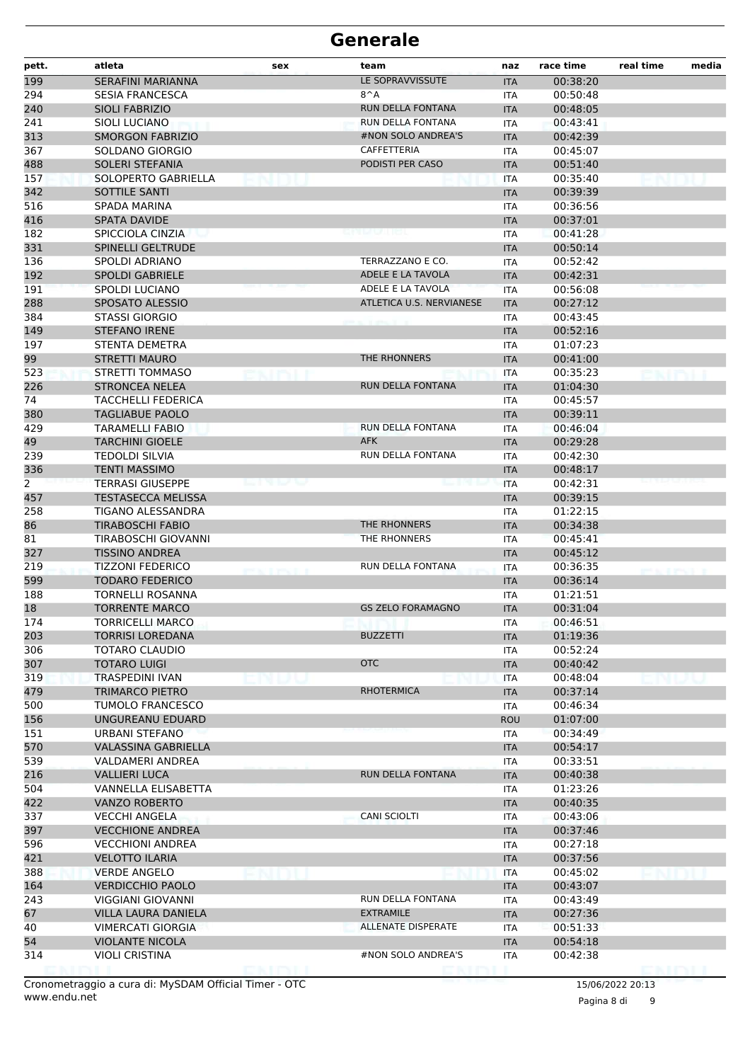| pett. | atleta                     | sex            | team                     | naz        | race time | real time             | media |
|-------|----------------------------|----------------|--------------------------|------------|-----------|-----------------------|-------|
| 199   | <b>SERAFINI MARIANNA</b>   |                | LE SOPRAVVISSUTE         | <b>ITA</b> | 00:38:20  |                       |       |
| 294   | <b>SESIA FRANCESCA</b>     |                | $8^A$                    | <b>ITA</b> | 00:50:48  |                       |       |
| 240   | <b>SIOLI FABRIZIO</b>      |                | RUN DELLA FONTANA        | <b>ITA</b> | 00:48:05  |                       |       |
| 241   | <b>SIOLI LUCIANO</b>       |                | RUN DELLA FONTANA        | <b>ITA</b> | 00:43:41  |                       |       |
| 313   | <b>SMORGON FABRIZIO</b>    |                | #NON SOLO ANDREA'S       | <b>ITA</b> | 00:42:39  |                       |       |
| 367   | SOLDANO GIORGIO            |                | CAFFETTERIA              | ITA        | 00:45:07  |                       |       |
| 488   | <b>SOLERI STEFANIA</b>     |                | PODISTI PER CASO         | <b>ITA</b> | 00:51:40  |                       |       |
| 157   | SOLOPERTO GABRIELLA        |                |                          | <b>ITA</b> | 00:35:40  |                       |       |
| 342   | <b>SOTTILE SANTI</b>       |                |                          | <b>ITA</b> | 00:39:39  |                       |       |
| 516   | <b>SPADA MARINA</b>        |                |                          | <b>ITA</b> | 00:36:56  |                       |       |
| 416   | <b>SPATA DAVIDE</b>        |                |                          | <b>ITA</b> | 00:37:01  |                       |       |
| 182   | SPICCIOLA CINZIA           |                |                          | ITA        | 00:41:28  |                       |       |
| 331   | <b>SPINELLI GELTRUDE</b>   |                |                          | <b>ITA</b> | 00:50:14  |                       |       |
| 136   | <b>SPOLDI ADRIANO</b>      |                | TERRAZZANO E CO.         | <b>ITA</b> | 00:52:42  |                       |       |
| 192   | <b>SPOLDI GABRIELE</b>     |                | ADELE E LA TAVOLA        | <b>ITA</b> | 00:42:31  |                       |       |
| 191   | <b>SPOLDI LUCIANO</b>      |                | ADELE E LA TAVOLA        | <b>ITA</b> | 00:56:08  |                       |       |
| 288   | SPOSATO ALESSIO            |                | ATLETICA U.S. NERVIANESE | <b>ITA</b> | 00:27:12  |                       |       |
| 384   | <b>STASSI GIORGIO</b>      |                |                          | ITA        | 00:43:45  |                       |       |
| 149   | <b>STEFANO IRENE</b>       |                |                          | <b>ITA</b> | 00:52:16  |                       |       |
| 197   | STENTA DEMETRA             |                |                          | <b>ITA</b> | 01:07:23  |                       |       |
| 99    | <b>STRETTI MAURO</b>       |                | THE RHONNERS             | <b>ITA</b> | 00:41:00  |                       |       |
| 523   | STRETTI TOMMASO            |                |                          | <b>ITA</b> | 00:35:23  |                       |       |
| 226   | <b>STRONCEA NELEA</b>      |                | <b>RUN DELLA FONTANA</b> | <b>ITA</b> | 01:04:30  |                       |       |
| 74    | <b>TACCHELLI FEDERICA</b>  |                |                          | ITA        | 00:45:57  |                       |       |
| 380   | <b>TAGLIABUE PAOLO</b>     |                |                          | <b>ITA</b> | 00:39:11  |                       |       |
| 429   | <b>TARAMELLI FABIO</b>     |                | RUN DELLA FONTANA        | <b>ITA</b> | 00:46:04  |                       |       |
| 49    | <b>TARCHINI GIOELE</b>     |                | <b>AFK</b>               | <b>ITA</b> | 00:29:28  |                       |       |
| 239   | TEDOLDI SILVIA             |                | RUN DELLA FONTANA        | <b>ITA</b> | 00:42:30  |                       |       |
| 336   | <b>TENTI MASSIMO</b>       |                |                          | <b>ITA</b> | 00:48:17  |                       |       |
| 2     | <b>TERRASI GIUSEPPE</b>    |                |                          | ITA        | 00:42:31  |                       |       |
| 457   | <b>TESTASECCA MELISSA</b>  |                |                          | <b>ITA</b> | 00:39:15  |                       |       |
| 258   | TIGANO ALESSANDRA          |                |                          | <b>ITA</b> | 01:22:15  |                       |       |
| 86    | <b>TIRABOSCHI FABIO</b>    |                | THE RHONNERS             | <b>ITA</b> | 00:34:38  |                       |       |
| 81    | TIRABOSCHI GIOVANNI        |                | <b>THE RHONNERS</b>      | ITA        | 00:45:41  |                       |       |
| 327   | <b>TISSINO ANDREA</b>      |                |                          | <b>ITA</b> | 00:45:12  |                       |       |
| 219   | <b>TIZZONI FEDERICO</b>    |                | RUN DELLA FONTANA        | ITA        | 00:36:35  |                       |       |
| 599   | <b>TODARO FEDERICO</b>     |                |                          | <b>ITA</b> | 00:36:14  |                       |       |
| 188   | <b>TORNELLI ROSANNA</b>    |                |                          | <b>ITA</b> | 01:21:51  |                       |       |
| 18    | <b>TORRENTE MARCO</b>      |                | <b>GS ZELO FORAMAGNO</b> | <b>ITA</b> | 00:31:04  |                       |       |
| 174   | <b>TORRICELLI MARCO</b>    |                |                          | <b>ITA</b> | 00:46:51  |                       |       |
| 203   | <b>TORRISI LOREDANA</b>    |                | <b>BUZZETTI</b>          | <b>ITA</b> | 01:19:36  |                       |       |
| 306   | <b>TOTARO CLAUDIO</b>      |                |                          | <b>ITA</b> | 00:52:24  |                       |       |
| 307   | <b>TOTARO LUIGI</b>        |                | <b>OTC</b>               | <b>ITA</b> | 00:40:42  |                       |       |
| 319   | TRASPEDINI IVAN            |                |                          | <b>ITA</b> | 00:48:04  |                       |       |
| 479   | <b>TRIMARCO PIETRO</b>     |                | <b>RHOTERMICA</b>        | <b>ITA</b> | 00:37:14  |                       |       |
| 500   | TUMOLO FRANCESCO           |                |                          | ITA        | 00:46:34  |                       |       |
| 156   | UNGUREANU EDUARD           |                |                          | <b>ROU</b> | 01:07:00  |                       |       |
| 151   | URBANI STEFANO             |                |                          | <b>ITA</b> | 00:34:49  |                       |       |
| 570   | <b>VALASSINA GABRIELLA</b> |                |                          | <b>ITA</b> | 00:54:17  |                       |       |
| 539   | VALDAMERI ANDREA           |                |                          | ITA        | 00:33:51  |                       |       |
| 216   | <b>VALLIERI LUCA</b>       |                | RUN DELLA FONTANA        | <b>ITA</b> | 00:40:38  |                       |       |
| 504   | VANNELLA ELISABETTA        |                |                          | ITA        | 01:23:26  |                       |       |
| 422   | <b>VANZO ROBERTO</b>       |                |                          | <b>ITA</b> | 00:40:35  |                       |       |
| 337   | <b>VECCHI ANGELA</b>       |                | <b>CANI SCIOLTI</b>      | <b>ITA</b> | 00:43:06  |                       |       |
| 397   | <b>VECCHIONE ANDREA</b>    |                |                          | <b>ITA</b> | 00:37:46  |                       |       |
| 596   | <b>VECCHIONI ANDREA</b>    |                |                          | <b>ITA</b> | 00:27:18  |                       |       |
| 421   | <b>VELOTTO ILARIA</b>      |                |                          | <b>ITA</b> | 00:37:56  |                       |       |
| 388   | <b>VERDE ANGELO</b>        |                |                          | <b>ITA</b> | 00:45:02  |                       |       |
| 164   | <b>VERDICCHIO PAOLO</b>    |                |                          | <b>ITA</b> | 00:43:07  |                       |       |
| 243   | VIGGIANI GIOVANNI          |                | RUN DELLA FONTANA        | <b>ITA</b> | 00:43:49  |                       |       |
| 67    | VILLA LAURA DANIELA        |                | <b>EXTRAMILE</b>         | <b>ITA</b> | 00:27:36  |                       |       |
| 40    | <b>VIMERCATI GIORGIA</b>   |                | ALLENATE DISPERATE       | ITA        | 00:51:33  |                       |       |
| 54    | <b>VIOLANTE NICOLA</b>     |                |                          | <b>ITA</b> | 00:54:18  |                       |       |
| 314   | <b>VIOLI CRISTINA</b>      | <b>EXITU</b> I | #NON SOLO ANDREA'S       | ITA        | 00:42:38  |                       |       |
|       |                            |                |                          |            |           | <b><i>EXISTAL</i></b> |       |

Pagina 8 di 9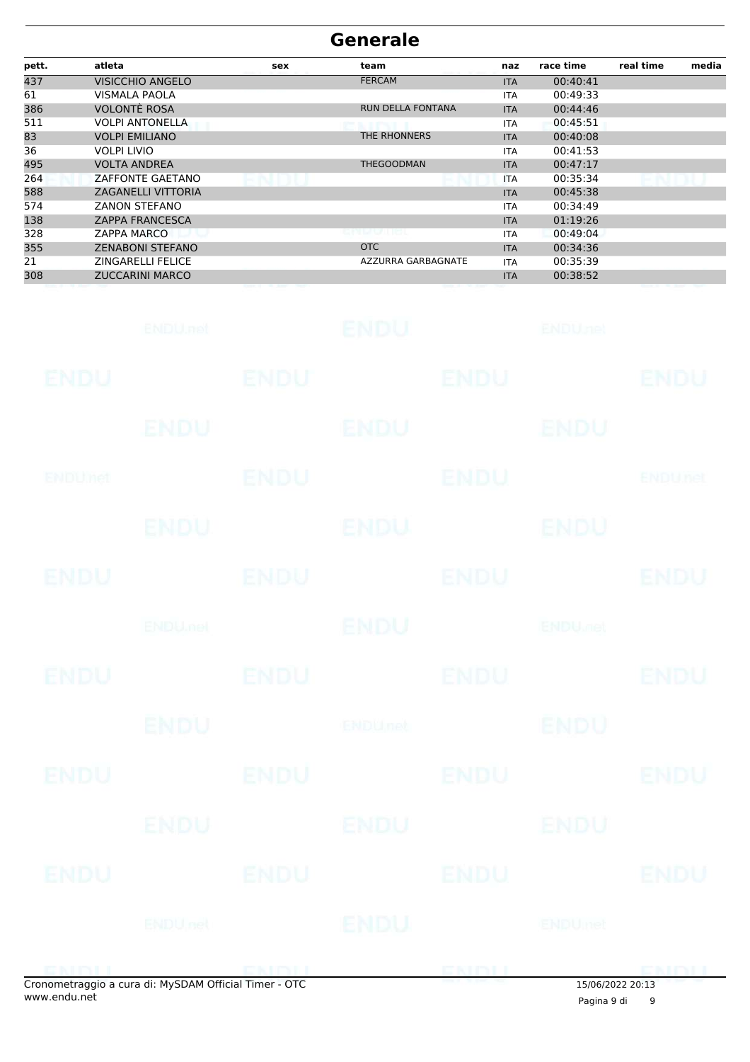| pett. | atleta                    | sex | team                     | naz        | race time | real time | media |
|-------|---------------------------|-----|--------------------------|------------|-----------|-----------|-------|
| 437   | <b>VISICCHIO ANGELO</b>   |     | <b>FERCAM</b>            | <b>ITA</b> | 00:40:41  |           |       |
| 61    | VISMALA PAOLA             |     |                          | <b>ITA</b> | 00:49:33  |           |       |
| 386   | <b>VOLONTE ROSA</b>       |     | <b>RUN DELLA FONTANA</b> | <b>ITA</b> | 00:44:46  |           |       |
| 511   | <b>VOLPI ANTONELLA</b>    |     |                          | <b>ITA</b> | 00:45:51  |           |       |
| 83    | <b>VOLPI EMILIANO</b>     |     | THE RHONNERS             | <b>ITA</b> | 00:40:08  |           |       |
| 36    | <b>VOLPI LIVIO</b>        |     |                          | <b>ITA</b> | 00:41:53  |           |       |
| 495   | <b>VOLTA ANDREA</b>       |     | <b>THEGOODMAN</b>        | <b>ITA</b> | 00:47:17  |           |       |
| 264   | ZAFFONTE GAETANO          |     |                          | <b>ITA</b> | 00:35:34  |           |       |
| 588   | <b>ZAGANELLI VITTORIA</b> |     |                          | <b>ITA</b> | 00:45:38  |           |       |
| 574   | <b>ZANON STEFANO</b>      |     |                          | ITA        | 00:34:49  |           |       |
| 138   | <b>ZAPPA FRANCESCA</b>    |     |                          | <b>ITA</b> | 01:19:26  |           |       |
| 328   | <b>ZAPPA MARCO</b>        |     | <b>ELPERATURE</b>        | <b>ITA</b> | 00:49:04  |           |       |
| 355   | <b>ZENABONI STEFANO</b>   |     | <b>OTC</b>               | <b>ITA</b> | 00:34:36  |           |       |
| 21    | <b>ZINGARELLI FELICE</b>  |     | AZZURRA GARBAGNATE       | <b>ITA</b> | 00:35:39  |           |       |
| 308   | <b>ZUCCARINI MARCO</b>    |     |                          | <b>ITA</b> | 00:38:52  |           |       |
|       |                           |     |                          |            |           |           |       |

|             | ENDU.net                                           |                                          | <b>ENDU</b> |             | <b>ENDUnet</b>           |                |
|-------------|----------------------------------------------------|------------------------------------------|-------------|-------------|--------------------------|----------------|
| ENDU        |                                                    | <b>ENDU</b>                              |             | <b>ENDU</b> |                          | ENDU           |
|             | ENDU                                               |                                          | <b>ENDU</b> |             | ENDU                     |                |
| ENDUMet     |                                                    | <b>ENDU</b>                              |             | <b>ENDU</b> |                          | <b>ENDUnet</b> |
|             | ENDU.                                              |                                          | <b>ENDU</b> |             | <b>ENDU</b>              |                |
| <b>ENDU</b> |                                                    | <b>ENDU</b>                              |             | <b>ENDU</b> |                          | <b>ENDU</b>    |
|             | <b>ENDU<sub>met</sub></b>                          |                                          | <b>ENDU</b> |             | <b>ENDU<sub>JO</sub></b> |                |
| <b>ENDU</b> |                                                    | <b>ENDU</b>                              |             | <b>ENDU</b> |                          | <b>ENDU</b>    |
|             | <b>ENDU</b>                                        |                                          | ENDUnet     |             | <b>ENDU</b>              |                |
| ENDU        |                                                    | <b>ENDU</b>                              |             | <b>ENDU</b> |                          | <b>ENDU</b>    |
|             | ENDU                                               |                                          | ENDU        |             | ENDU                     |                |
| <b>ENDU</b> |                                                    | <b>ENDU</b>                              |             | <b>ENDU</b> |                          | <b>ENDU</b>    |
|             | ENDUnet                                            |                                          | ENDU        |             | ENDUmet                  |                |
|             | apamotraggio a cura di: MySDAM Official Timor. OTC | e e popular e porto de la propia de la p |             | ENDI        | 15/06/202220112          | <b>CMBLI</b>   |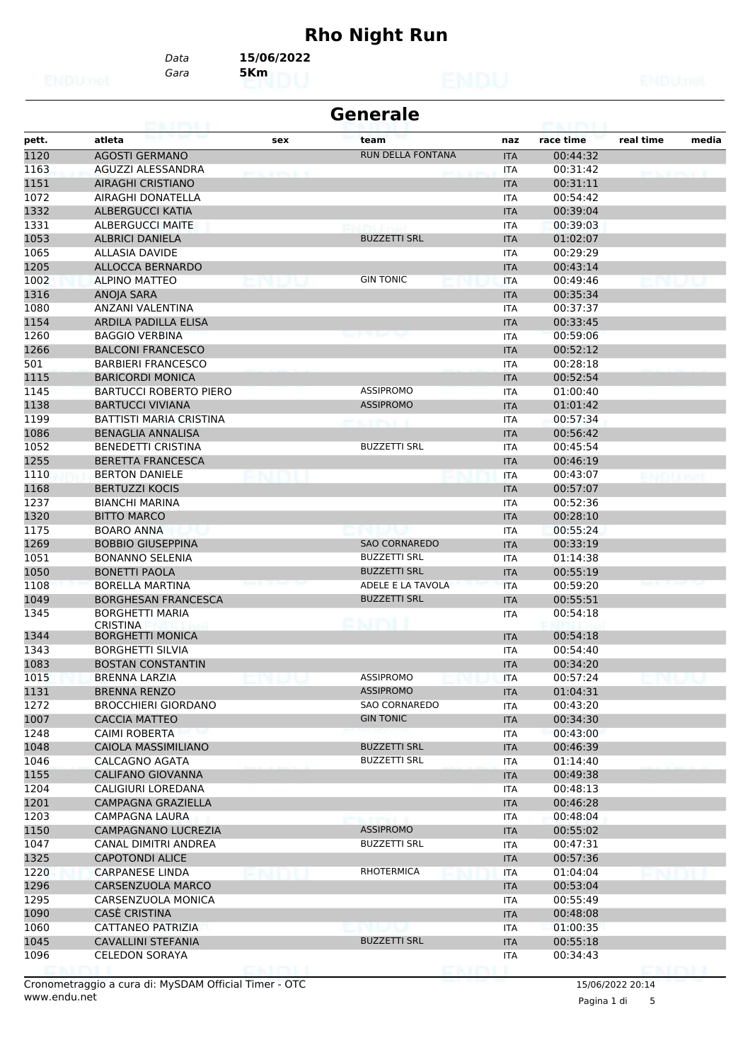# **Rho Night Run**

*Gara* **5Km** *Data* **15/06/2022**

| atleta<br>race time<br>real time<br>media<br>pett.<br>team<br>naz<br>sex<br>1120<br><b>AGOSTI GERMANO</b><br>RUN DELLA FONTANA<br>00:44:32<br><b>ITA</b><br>AGUZZI ALESSANDRA<br>00:31:42<br>ITA<br><b><i>ATEMATERS</i></b><br><b>AIRAGHI CRISTIANO</b><br>00:31:11<br><b>ITA</b><br>AIRAGHI DONATELLA<br>00:54:42<br><b>ITA</b><br><b>ALBERGUCCI KATIA</b><br>00:39:04<br><b>ITA</b><br><b>ALBERGUCCI MAITE</b><br>00:39:03<br>ITA<br><b>BUZZETTI SRL</b><br><b>ALBRICI DANIELA</b><br><b>ITA</b><br>01:02:07<br>1065<br>00:29:29<br>ALLASIA DAVIDE<br><b>ITA</b><br>00:43:14<br>ALLOCCA BERNARDO<br><b>ITA</b><br>1002<br><b>GIN TONIC</b><br><b>ALPINO MATTEO</b><br>00:49:46<br><b>ITA</b><br>ANOJA SARA<br>00:35:34<br><b>ITA</b><br>1080<br>00:37:37<br>ANZANI VALENTINA<br><b>ITA</b><br>ARDILA PADILLA ELISA<br>00:33:45<br><b>ITA</b><br><b>BAGGIO VERBINA</b><br>00:59:06<br><b>ITA</b><br>00:52:12<br><b>BALCONI FRANCESCO</b><br><b>ITA</b><br>501<br><b>BARBIERI FRANCESCO</b><br>00:28:18<br><b>ITA</b><br><b>BARICORDI MONICA</b><br>00:52:54<br><b>ITA</b><br><b>ASSIPROMO</b><br>01:00:40<br>1145<br><b>BARTUCCI ROBERTO PIERO</b><br><b>ITA</b><br><b>ASSIPROMO</b><br><b>BARTUCCI VIVIANA</b><br>01:01:42<br><b>ITA</b><br><b>BATTISTI MARIA CRISTINA</b><br>00:57:34<br><b>ITA</b><br>andrea a<br>00:56:42<br><b>BENAGLIA ANNALISA</b><br><b>ITA</b><br>1052<br><b>BUZZETTI SRL</b><br><b>BENEDETTI CRISTINA</b><br>00:45:54<br><b>ITA</b><br><b>BERETTA FRANCESCA</b><br>00:46:19<br><b>ITA</b><br><b>BERTON DANIELE</b><br><b>ITA</b><br>00:43:07<br><b>BERTUZZI KOCIS</b><br>00:57:07<br><b>ITA</b><br>00:52:36<br><b>BIANCHI MARINA</b><br><b>ITA</b><br><b>BITTO MARCO</b><br><b>ITA</b><br>00:28:10<br><b>BOARO ANNA</b><br>00:55:24<br><b>ITA</b><br><b>SAO CORNAREDO</b><br><b>BOBBIO GIUSEPPINA</b><br>00:33:19<br><b>ITA</b><br>1051<br><b>BUZZETTI SRL</b><br><b>BONANNO SELENIA</b><br>01:14:38<br><b>ITA</b><br><b>BUZZETTI SRL</b><br><b>BONETTI PAOLA</b><br>00:55:19<br><b>ITA</b><br>ADELE E LA TAVOLA<br>1108<br>00:59:20<br><b>BORELLA MARTINA</b><br><b>ITA</b><br><b>BORGHESAN FRANCESCA</b><br><b>BUZZETTI SRL</b><br>00:55:51<br>1049<br><b>ITA</b><br><b>BORGHETTI MARIA</b><br>00:54:18<br>1345<br><b>ITA</b><br>PMDU<br><b>CRISTINA</b><br>1344<br><b>BORGHETTI MONICA</b><br>00:54:18<br><b>ITA</b><br>1343<br><b>BORGHETTI SILVIA</b><br>00:54:40<br>ITA<br>1083<br><b>BOSTAN CONSTANTIN</b><br>00:34:20<br><b>ITA</b><br>1015<br><b>BRENNA LARZIA</b><br>ASSIPROMO<br><b>ITA</b><br>00:57:24<br><b>ASSIPROMO</b><br>1131<br><b>BRENNA RENZO</b><br>01:04:31<br><b>ITA</b><br>1272<br><b>SAO CORNAREDO</b><br><b>BROCCHIERI GIORDANO</b><br><b>ITA</b><br>00:43:20<br><b>GIN TONIC</b><br>1007<br><b>CACCIA MATTEO</b><br><b>ITA</b><br>00:34:30<br><b>CAIMI ROBERTA</b><br>00:43:00<br>ITA<br><b>BUZZETTI SRL</b><br>CAIOLA MASSIMILIANO<br><b>ITA</b><br>00:46:39<br><b>BUZZETTI SRL</b><br>CALCAGNO AGATA<br><b>ITA</b><br>01:14:40<br><b>CALIFANO GIOVANNA</b><br><b>ITA</b><br>00:49:38<br>CALIGIURI LOREDANA<br><b>ITA</b><br>00:48:13<br>1201<br>CAMPAGNA GRAZIELLA<br>00:46:28<br><b>ITA</b><br><b>CAMPAGNA LAURA</b><br>00:48:04<br>ITA<br><b>ASSIPROMO</b><br>CAMPAGNANO LUCREZIA<br>00:55:02<br><b>ITA</b><br><b>BUZZETTI SRL</b><br>CANAL DIMITRI ANDREA<br>00:47:31<br>ITA<br><b>CAPOTONDI ALICE</b><br><b>ITA</b><br>00:57:36<br>RHOTERMICA<br><b>CARPANESE LINDA</b><br>01:04:04<br>ITA<br>CARSENZUOLA MARCO<br>00:53:04<br><b>ITA</b><br>CARSENZUOLA MONICA<br>00:55:49<br>ITA<br><b>CASE CRISTINA</b><br>00:48:08<br><b>ITA</b><br><b>CATTANEO PATRIZIA</b><br>01:00:35<br>ITA<br>1045<br><b>CAVALLINI STEFANIA</b><br><b>BUZZETTI SRL</b><br><b>ITA</b><br>00:55:18<br>1096<br><b>CELEDON SORAYA</b><br>00:34:43<br>ITA |      | caint i | <b>Generale</b> |  |  |
|-------------------------------------------------------------------------------------------------------------------------------------------------------------------------------------------------------------------------------------------------------------------------------------------------------------------------------------------------------------------------------------------------------------------------------------------------------------------------------------------------------------------------------------------------------------------------------------------------------------------------------------------------------------------------------------------------------------------------------------------------------------------------------------------------------------------------------------------------------------------------------------------------------------------------------------------------------------------------------------------------------------------------------------------------------------------------------------------------------------------------------------------------------------------------------------------------------------------------------------------------------------------------------------------------------------------------------------------------------------------------------------------------------------------------------------------------------------------------------------------------------------------------------------------------------------------------------------------------------------------------------------------------------------------------------------------------------------------------------------------------------------------------------------------------------------------------------------------------------------------------------------------------------------------------------------------------------------------------------------------------------------------------------------------------------------------------------------------------------------------------------------------------------------------------------------------------------------------------------------------------------------------------------------------------------------------------------------------------------------------------------------------------------------------------------------------------------------------------------------------------------------------------------------------------------------------------------------------------------------------------------------------------------------------------------------------------------------------------------------------------------------------------------------------------------------------------------------------------------------------------------------------------------------------------------------------------------------------------------------------------------------------------------------------------------------------------------------------------------------------------------------------------------------------------------------------------------------------------------------------------------------------------------------------------------------------------------------------------------------------------------------------------------------------------------------------------------------------------------------------------------------------------------------------------------------------------------------------------------------------------------------------------------------------------------------------------------------------------------------------------------------------------------------------|------|---------|-----------------|--|--|
|                                                                                                                                                                                                                                                                                                                                                                                                                                                                                                                                                                                                                                                                                                                                                                                                                                                                                                                                                                                                                                                                                                                                                                                                                                                                                                                                                                                                                                                                                                                                                                                                                                                                                                                                                                                                                                                                                                                                                                                                                                                                                                                                                                                                                                                                                                                                                                                                                                                                                                                                                                                                                                                                                                                                                                                                                                                                                                                                                                                                                                                                                                                                                                                                                                                                                                                                                                                                                                                                                                                                                                                                                                                                                                                                                                                           |      |         |                 |  |  |
|                                                                                                                                                                                                                                                                                                                                                                                                                                                                                                                                                                                                                                                                                                                                                                                                                                                                                                                                                                                                                                                                                                                                                                                                                                                                                                                                                                                                                                                                                                                                                                                                                                                                                                                                                                                                                                                                                                                                                                                                                                                                                                                                                                                                                                                                                                                                                                                                                                                                                                                                                                                                                                                                                                                                                                                                                                                                                                                                                                                                                                                                                                                                                                                                                                                                                                                                                                                                                                                                                                                                                                                                                                                                                                                                                                                           |      |         |                 |  |  |
|                                                                                                                                                                                                                                                                                                                                                                                                                                                                                                                                                                                                                                                                                                                                                                                                                                                                                                                                                                                                                                                                                                                                                                                                                                                                                                                                                                                                                                                                                                                                                                                                                                                                                                                                                                                                                                                                                                                                                                                                                                                                                                                                                                                                                                                                                                                                                                                                                                                                                                                                                                                                                                                                                                                                                                                                                                                                                                                                                                                                                                                                                                                                                                                                                                                                                                                                                                                                                                                                                                                                                                                                                                                                                                                                                                                           | 1163 |         |                 |  |  |
|                                                                                                                                                                                                                                                                                                                                                                                                                                                                                                                                                                                                                                                                                                                                                                                                                                                                                                                                                                                                                                                                                                                                                                                                                                                                                                                                                                                                                                                                                                                                                                                                                                                                                                                                                                                                                                                                                                                                                                                                                                                                                                                                                                                                                                                                                                                                                                                                                                                                                                                                                                                                                                                                                                                                                                                                                                                                                                                                                                                                                                                                                                                                                                                                                                                                                                                                                                                                                                                                                                                                                                                                                                                                                                                                                                                           | 1151 |         |                 |  |  |
|                                                                                                                                                                                                                                                                                                                                                                                                                                                                                                                                                                                                                                                                                                                                                                                                                                                                                                                                                                                                                                                                                                                                                                                                                                                                                                                                                                                                                                                                                                                                                                                                                                                                                                                                                                                                                                                                                                                                                                                                                                                                                                                                                                                                                                                                                                                                                                                                                                                                                                                                                                                                                                                                                                                                                                                                                                                                                                                                                                                                                                                                                                                                                                                                                                                                                                                                                                                                                                                                                                                                                                                                                                                                                                                                                                                           | 1072 |         |                 |  |  |
|                                                                                                                                                                                                                                                                                                                                                                                                                                                                                                                                                                                                                                                                                                                                                                                                                                                                                                                                                                                                                                                                                                                                                                                                                                                                                                                                                                                                                                                                                                                                                                                                                                                                                                                                                                                                                                                                                                                                                                                                                                                                                                                                                                                                                                                                                                                                                                                                                                                                                                                                                                                                                                                                                                                                                                                                                                                                                                                                                                                                                                                                                                                                                                                                                                                                                                                                                                                                                                                                                                                                                                                                                                                                                                                                                                                           | 1332 |         |                 |  |  |
|                                                                                                                                                                                                                                                                                                                                                                                                                                                                                                                                                                                                                                                                                                                                                                                                                                                                                                                                                                                                                                                                                                                                                                                                                                                                                                                                                                                                                                                                                                                                                                                                                                                                                                                                                                                                                                                                                                                                                                                                                                                                                                                                                                                                                                                                                                                                                                                                                                                                                                                                                                                                                                                                                                                                                                                                                                                                                                                                                                                                                                                                                                                                                                                                                                                                                                                                                                                                                                                                                                                                                                                                                                                                                                                                                                                           | 1331 |         |                 |  |  |
|                                                                                                                                                                                                                                                                                                                                                                                                                                                                                                                                                                                                                                                                                                                                                                                                                                                                                                                                                                                                                                                                                                                                                                                                                                                                                                                                                                                                                                                                                                                                                                                                                                                                                                                                                                                                                                                                                                                                                                                                                                                                                                                                                                                                                                                                                                                                                                                                                                                                                                                                                                                                                                                                                                                                                                                                                                                                                                                                                                                                                                                                                                                                                                                                                                                                                                                                                                                                                                                                                                                                                                                                                                                                                                                                                                                           | 1053 |         |                 |  |  |
|                                                                                                                                                                                                                                                                                                                                                                                                                                                                                                                                                                                                                                                                                                                                                                                                                                                                                                                                                                                                                                                                                                                                                                                                                                                                                                                                                                                                                                                                                                                                                                                                                                                                                                                                                                                                                                                                                                                                                                                                                                                                                                                                                                                                                                                                                                                                                                                                                                                                                                                                                                                                                                                                                                                                                                                                                                                                                                                                                                                                                                                                                                                                                                                                                                                                                                                                                                                                                                                                                                                                                                                                                                                                                                                                                                                           |      |         |                 |  |  |
|                                                                                                                                                                                                                                                                                                                                                                                                                                                                                                                                                                                                                                                                                                                                                                                                                                                                                                                                                                                                                                                                                                                                                                                                                                                                                                                                                                                                                                                                                                                                                                                                                                                                                                                                                                                                                                                                                                                                                                                                                                                                                                                                                                                                                                                                                                                                                                                                                                                                                                                                                                                                                                                                                                                                                                                                                                                                                                                                                                                                                                                                                                                                                                                                                                                                                                                                                                                                                                                                                                                                                                                                                                                                                                                                                                                           | 1205 |         |                 |  |  |
|                                                                                                                                                                                                                                                                                                                                                                                                                                                                                                                                                                                                                                                                                                                                                                                                                                                                                                                                                                                                                                                                                                                                                                                                                                                                                                                                                                                                                                                                                                                                                                                                                                                                                                                                                                                                                                                                                                                                                                                                                                                                                                                                                                                                                                                                                                                                                                                                                                                                                                                                                                                                                                                                                                                                                                                                                                                                                                                                                                                                                                                                                                                                                                                                                                                                                                                                                                                                                                                                                                                                                                                                                                                                                                                                                                                           |      |         |                 |  |  |
|                                                                                                                                                                                                                                                                                                                                                                                                                                                                                                                                                                                                                                                                                                                                                                                                                                                                                                                                                                                                                                                                                                                                                                                                                                                                                                                                                                                                                                                                                                                                                                                                                                                                                                                                                                                                                                                                                                                                                                                                                                                                                                                                                                                                                                                                                                                                                                                                                                                                                                                                                                                                                                                                                                                                                                                                                                                                                                                                                                                                                                                                                                                                                                                                                                                                                                                                                                                                                                                                                                                                                                                                                                                                                                                                                                                           | 1316 |         |                 |  |  |
|                                                                                                                                                                                                                                                                                                                                                                                                                                                                                                                                                                                                                                                                                                                                                                                                                                                                                                                                                                                                                                                                                                                                                                                                                                                                                                                                                                                                                                                                                                                                                                                                                                                                                                                                                                                                                                                                                                                                                                                                                                                                                                                                                                                                                                                                                                                                                                                                                                                                                                                                                                                                                                                                                                                                                                                                                                                                                                                                                                                                                                                                                                                                                                                                                                                                                                                                                                                                                                                                                                                                                                                                                                                                                                                                                                                           |      |         |                 |  |  |
|                                                                                                                                                                                                                                                                                                                                                                                                                                                                                                                                                                                                                                                                                                                                                                                                                                                                                                                                                                                                                                                                                                                                                                                                                                                                                                                                                                                                                                                                                                                                                                                                                                                                                                                                                                                                                                                                                                                                                                                                                                                                                                                                                                                                                                                                                                                                                                                                                                                                                                                                                                                                                                                                                                                                                                                                                                                                                                                                                                                                                                                                                                                                                                                                                                                                                                                                                                                                                                                                                                                                                                                                                                                                                                                                                                                           | 1154 |         |                 |  |  |
|                                                                                                                                                                                                                                                                                                                                                                                                                                                                                                                                                                                                                                                                                                                                                                                                                                                                                                                                                                                                                                                                                                                                                                                                                                                                                                                                                                                                                                                                                                                                                                                                                                                                                                                                                                                                                                                                                                                                                                                                                                                                                                                                                                                                                                                                                                                                                                                                                                                                                                                                                                                                                                                                                                                                                                                                                                                                                                                                                                                                                                                                                                                                                                                                                                                                                                                                                                                                                                                                                                                                                                                                                                                                                                                                                                                           | 1260 |         |                 |  |  |
|                                                                                                                                                                                                                                                                                                                                                                                                                                                                                                                                                                                                                                                                                                                                                                                                                                                                                                                                                                                                                                                                                                                                                                                                                                                                                                                                                                                                                                                                                                                                                                                                                                                                                                                                                                                                                                                                                                                                                                                                                                                                                                                                                                                                                                                                                                                                                                                                                                                                                                                                                                                                                                                                                                                                                                                                                                                                                                                                                                                                                                                                                                                                                                                                                                                                                                                                                                                                                                                                                                                                                                                                                                                                                                                                                                                           | 1266 |         |                 |  |  |
|                                                                                                                                                                                                                                                                                                                                                                                                                                                                                                                                                                                                                                                                                                                                                                                                                                                                                                                                                                                                                                                                                                                                                                                                                                                                                                                                                                                                                                                                                                                                                                                                                                                                                                                                                                                                                                                                                                                                                                                                                                                                                                                                                                                                                                                                                                                                                                                                                                                                                                                                                                                                                                                                                                                                                                                                                                                                                                                                                                                                                                                                                                                                                                                                                                                                                                                                                                                                                                                                                                                                                                                                                                                                                                                                                                                           |      |         |                 |  |  |
|                                                                                                                                                                                                                                                                                                                                                                                                                                                                                                                                                                                                                                                                                                                                                                                                                                                                                                                                                                                                                                                                                                                                                                                                                                                                                                                                                                                                                                                                                                                                                                                                                                                                                                                                                                                                                                                                                                                                                                                                                                                                                                                                                                                                                                                                                                                                                                                                                                                                                                                                                                                                                                                                                                                                                                                                                                                                                                                                                                                                                                                                                                                                                                                                                                                                                                                                                                                                                                                                                                                                                                                                                                                                                                                                                                                           | 1115 |         |                 |  |  |
|                                                                                                                                                                                                                                                                                                                                                                                                                                                                                                                                                                                                                                                                                                                                                                                                                                                                                                                                                                                                                                                                                                                                                                                                                                                                                                                                                                                                                                                                                                                                                                                                                                                                                                                                                                                                                                                                                                                                                                                                                                                                                                                                                                                                                                                                                                                                                                                                                                                                                                                                                                                                                                                                                                                                                                                                                                                                                                                                                                                                                                                                                                                                                                                                                                                                                                                                                                                                                                                                                                                                                                                                                                                                                                                                                                                           |      |         |                 |  |  |
|                                                                                                                                                                                                                                                                                                                                                                                                                                                                                                                                                                                                                                                                                                                                                                                                                                                                                                                                                                                                                                                                                                                                                                                                                                                                                                                                                                                                                                                                                                                                                                                                                                                                                                                                                                                                                                                                                                                                                                                                                                                                                                                                                                                                                                                                                                                                                                                                                                                                                                                                                                                                                                                                                                                                                                                                                                                                                                                                                                                                                                                                                                                                                                                                                                                                                                                                                                                                                                                                                                                                                                                                                                                                                                                                                                                           | 1138 |         |                 |  |  |
|                                                                                                                                                                                                                                                                                                                                                                                                                                                                                                                                                                                                                                                                                                                                                                                                                                                                                                                                                                                                                                                                                                                                                                                                                                                                                                                                                                                                                                                                                                                                                                                                                                                                                                                                                                                                                                                                                                                                                                                                                                                                                                                                                                                                                                                                                                                                                                                                                                                                                                                                                                                                                                                                                                                                                                                                                                                                                                                                                                                                                                                                                                                                                                                                                                                                                                                                                                                                                                                                                                                                                                                                                                                                                                                                                                                           | 1199 |         |                 |  |  |
|                                                                                                                                                                                                                                                                                                                                                                                                                                                                                                                                                                                                                                                                                                                                                                                                                                                                                                                                                                                                                                                                                                                                                                                                                                                                                                                                                                                                                                                                                                                                                                                                                                                                                                                                                                                                                                                                                                                                                                                                                                                                                                                                                                                                                                                                                                                                                                                                                                                                                                                                                                                                                                                                                                                                                                                                                                                                                                                                                                                                                                                                                                                                                                                                                                                                                                                                                                                                                                                                                                                                                                                                                                                                                                                                                                                           | 1086 |         |                 |  |  |
|                                                                                                                                                                                                                                                                                                                                                                                                                                                                                                                                                                                                                                                                                                                                                                                                                                                                                                                                                                                                                                                                                                                                                                                                                                                                                                                                                                                                                                                                                                                                                                                                                                                                                                                                                                                                                                                                                                                                                                                                                                                                                                                                                                                                                                                                                                                                                                                                                                                                                                                                                                                                                                                                                                                                                                                                                                                                                                                                                                                                                                                                                                                                                                                                                                                                                                                                                                                                                                                                                                                                                                                                                                                                                                                                                                                           |      |         |                 |  |  |
|                                                                                                                                                                                                                                                                                                                                                                                                                                                                                                                                                                                                                                                                                                                                                                                                                                                                                                                                                                                                                                                                                                                                                                                                                                                                                                                                                                                                                                                                                                                                                                                                                                                                                                                                                                                                                                                                                                                                                                                                                                                                                                                                                                                                                                                                                                                                                                                                                                                                                                                                                                                                                                                                                                                                                                                                                                                                                                                                                                                                                                                                                                                                                                                                                                                                                                                                                                                                                                                                                                                                                                                                                                                                                                                                                                                           | 1255 |         |                 |  |  |
|                                                                                                                                                                                                                                                                                                                                                                                                                                                                                                                                                                                                                                                                                                                                                                                                                                                                                                                                                                                                                                                                                                                                                                                                                                                                                                                                                                                                                                                                                                                                                                                                                                                                                                                                                                                                                                                                                                                                                                                                                                                                                                                                                                                                                                                                                                                                                                                                                                                                                                                                                                                                                                                                                                                                                                                                                                                                                                                                                                                                                                                                                                                                                                                                                                                                                                                                                                                                                                                                                                                                                                                                                                                                                                                                                                                           | 1110 |         |                 |  |  |
|                                                                                                                                                                                                                                                                                                                                                                                                                                                                                                                                                                                                                                                                                                                                                                                                                                                                                                                                                                                                                                                                                                                                                                                                                                                                                                                                                                                                                                                                                                                                                                                                                                                                                                                                                                                                                                                                                                                                                                                                                                                                                                                                                                                                                                                                                                                                                                                                                                                                                                                                                                                                                                                                                                                                                                                                                                                                                                                                                                                                                                                                                                                                                                                                                                                                                                                                                                                                                                                                                                                                                                                                                                                                                                                                                                                           | 1168 |         |                 |  |  |
|                                                                                                                                                                                                                                                                                                                                                                                                                                                                                                                                                                                                                                                                                                                                                                                                                                                                                                                                                                                                                                                                                                                                                                                                                                                                                                                                                                                                                                                                                                                                                                                                                                                                                                                                                                                                                                                                                                                                                                                                                                                                                                                                                                                                                                                                                                                                                                                                                                                                                                                                                                                                                                                                                                                                                                                                                                                                                                                                                                                                                                                                                                                                                                                                                                                                                                                                                                                                                                                                                                                                                                                                                                                                                                                                                                                           | 1237 |         |                 |  |  |
|                                                                                                                                                                                                                                                                                                                                                                                                                                                                                                                                                                                                                                                                                                                                                                                                                                                                                                                                                                                                                                                                                                                                                                                                                                                                                                                                                                                                                                                                                                                                                                                                                                                                                                                                                                                                                                                                                                                                                                                                                                                                                                                                                                                                                                                                                                                                                                                                                                                                                                                                                                                                                                                                                                                                                                                                                                                                                                                                                                                                                                                                                                                                                                                                                                                                                                                                                                                                                                                                                                                                                                                                                                                                                                                                                                                           | 1320 |         |                 |  |  |
|                                                                                                                                                                                                                                                                                                                                                                                                                                                                                                                                                                                                                                                                                                                                                                                                                                                                                                                                                                                                                                                                                                                                                                                                                                                                                                                                                                                                                                                                                                                                                                                                                                                                                                                                                                                                                                                                                                                                                                                                                                                                                                                                                                                                                                                                                                                                                                                                                                                                                                                                                                                                                                                                                                                                                                                                                                                                                                                                                                                                                                                                                                                                                                                                                                                                                                                                                                                                                                                                                                                                                                                                                                                                                                                                                                                           | 1175 |         |                 |  |  |
|                                                                                                                                                                                                                                                                                                                                                                                                                                                                                                                                                                                                                                                                                                                                                                                                                                                                                                                                                                                                                                                                                                                                                                                                                                                                                                                                                                                                                                                                                                                                                                                                                                                                                                                                                                                                                                                                                                                                                                                                                                                                                                                                                                                                                                                                                                                                                                                                                                                                                                                                                                                                                                                                                                                                                                                                                                                                                                                                                                                                                                                                                                                                                                                                                                                                                                                                                                                                                                                                                                                                                                                                                                                                                                                                                                                           | 1269 |         |                 |  |  |
|                                                                                                                                                                                                                                                                                                                                                                                                                                                                                                                                                                                                                                                                                                                                                                                                                                                                                                                                                                                                                                                                                                                                                                                                                                                                                                                                                                                                                                                                                                                                                                                                                                                                                                                                                                                                                                                                                                                                                                                                                                                                                                                                                                                                                                                                                                                                                                                                                                                                                                                                                                                                                                                                                                                                                                                                                                                                                                                                                                                                                                                                                                                                                                                                                                                                                                                                                                                                                                                                                                                                                                                                                                                                                                                                                                                           |      |         |                 |  |  |
|                                                                                                                                                                                                                                                                                                                                                                                                                                                                                                                                                                                                                                                                                                                                                                                                                                                                                                                                                                                                                                                                                                                                                                                                                                                                                                                                                                                                                                                                                                                                                                                                                                                                                                                                                                                                                                                                                                                                                                                                                                                                                                                                                                                                                                                                                                                                                                                                                                                                                                                                                                                                                                                                                                                                                                                                                                                                                                                                                                                                                                                                                                                                                                                                                                                                                                                                                                                                                                                                                                                                                                                                                                                                                                                                                                                           | 1050 |         |                 |  |  |
|                                                                                                                                                                                                                                                                                                                                                                                                                                                                                                                                                                                                                                                                                                                                                                                                                                                                                                                                                                                                                                                                                                                                                                                                                                                                                                                                                                                                                                                                                                                                                                                                                                                                                                                                                                                                                                                                                                                                                                                                                                                                                                                                                                                                                                                                                                                                                                                                                                                                                                                                                                                                                                                                                                                                                                                                                                                                                                                                                                                                                                                                                                                                                                                                                                                                                                                                                                                                                                                                                                                                                                                                                                                                                                                                                                                           |      |         |                 |  |  |
|                                                                                                                                                                                                                                                                                                                                                                                                                                                                                                                                                                                                                                                                                                                                                                                                                                                                                                                                                                                                                                                                                                                                                                                                                                                                                                                                                                                                                                                                                                                                                                                                                                                                                                                                                                                                                                                                                                                                                                                                                                                                                                                                                                                                                                                                                                                                                                                                                                                                                                                                                                                                                                                                                                                                                                                                                                                                                                                                                                                                                                                                                                                                                                                                                                                                                                                                                                                                                                                                                                                                                                                                                                                                                                                                                                                           |      |         |                 |  |  |
|                                                                                                                                                                                                                                                                                                                                                                                                                                                                                                                                                                                                                                                                                                                                                                                                                                                                                                                                                                                                                                                                                                                                                                                                                                                                                                                                                                                                                                                                                                                                                                                                                                                                                                                                                                                                                                                                                                                                                                                                                                                                                                                                                                                                                                                                                                                                                                                                                                                                                                                                                                                                                                                                                                                                                                                                                                                                                                                                                                                                                                                                                                                                                                                                                                                                                                                                                                                                                                                                                                                                                                                                                                                                                                                                                                                           |      |         |                 |  |  |
|                                                                                                                                                                                                                                                                                                                                                                                                                                                                                                                                                                                                                                                                                                                                                                                                                                                                                                                                                                                                                                                                                                                                                                                                                                                                                                                                                                                                                                                                                                                                                                                                                                                                                                                                                                                                                                                                                                                                                                                                                                                                                                                                                                                                                                                                                                                                                                                                                                                                                                                                                                                                                                                                                                                                                                                                                                                                                                                                                                                                                                                                                                                                                                                                                                                                                                                                                                                                                                                                                                                                                                                                                                                                                                                                                                                           |      |         |                 |  |  |
|                                                                                                                                                                                                                                                                                                                                                                                                                                                                                                                                                                                                                                                                                                                                                                                                                                                                                                                                                                                                                                                                                                                                                                                                                                                                                                                                                                                                                                                                                                                                                                                                                                                                                                                                                                                                                                                                                                                                                                                                                                                                                                                                                                                                                                                                                                                                                                                                                                                                                                                                                                                                                                                                                                                                                                                                                                                                                                                                                                                                                                                                                                                                                                                                                                                                                                                                                                                                                                                                                                                                                                                                                                                                                                                                                                                           |      |         |                 |  |  |
|                                                                                                                                                                                                                                                                                                                                                                                                                                                                                                                                                                                                                                                                                                                                                                                                                                                                                                                                                                                                                                                                                                                                                                                                                                                                                                                                                                                                                                                                                                                                                                                                                                                                                                                                                                                                                                                                                                                                                                                                                                                                                                                                                                                                                                                                                                                                                                                                                                                                                                                                                                                                                                                                                                                                                                                                                                                                                                                                                                                                                                                                                                                                                                                                                                                                                                                                                                                                                                                                                                                                                                                                                                                                                                                                                                                           |      |         |                 |  |  |
|                                                                                                                                                                                                                                                                                                                                                                                                                                                                                                                                                                                                                                                                                                                                                                                                                                                                                                                                                                                                                                                                                                                                                                                                                                                                                                                                                                                                                                                                                                                                                                                                                                                                                                                                                                                                                                                                                                                                                                                                                                                                                                                                                                                                                                                                                                                                                                                                                                                                                                                                                                                                                                                                                                                                                                                                                                                                                                                                                                                                                                                                                                                                                                                                                                                                                                                                                                                                                                                                                                                                                                                                                                                                                                                                                                                           |      |         |                 |  |  |
|                                                                                                                                                                                                                                                                                                                                                                                                                                                                                                                                                                                                                                                                                                                                                                                                                                                                                                                                                                                                                                                                                                                                                                                                                                                                                                                                                                                                                                                                                                                                                                                                                                                                                                                                                                                                                                                                                                                                                                                                                                                                                                                                                                                                                                                                                                                                                                                                                                                                                                                                                                                                                                                                                                                                                                                                                                                                                                                                                                                                                                                                                                                                                                                                                                                                                                                                                                                                                                                                                                                                                                                                                                                                                                                                                                                           |      |         |                 |  |  |
|                                                                                                                                                                                                                                                                                                                                                                                                                                                                                                                                                                                                                                                                                                                                                                                                                                                                                                                                                                                                                                                                                                                                                                                                                                                                                                                                                                                                                                                                                                                                                                                                                                                                                                                                                                                                                                                                                                                                                                                                                                                                                                                                                                                                                                                                                                                                                                                                                                                                                                                                                                                                                                                                                                                                                                                                                                                                                                                                                                                                                                                                                                                                                                                                                                                                                                                                                                                                                                                                                                                                                                                                                                                                                                                                                                                           |      |         |                 |  |  |
|                                                                                                                                                                                                                                                                                                                                                                                                                                                                                                                                                                                                                                                                                                                                                                                                                                                                                                                                                                                                                                                                                                                                                                                                                                                                                                                                                                                                                                                                                                                                                                                                                                                                                                                                                                                                                                                                                                                                                                                                                                                                                                                                                                                                                                                                                                                                                                                                                                                                                                                                                                                                                                                                                                                                                                                                                                                                                                                                                                                                                                                                                                                                                                                                                                                                                                                                                                                                                                                                                                                                                                                                                                                                                                                                                                                           |      |         |                 |  |  |
|                                                                                                                                                                                                                                                                                                                                                                                                                                                                                                                                                                                                                                                                                                                                                                                                                                                                                                                                                                                                                                                                                                                                                                                                                                                                                                                                                                                                                                                                                                                                                                                                                                                                                                                                                                                                                                                                                                                                                                                                                                                                                                                                                                                                                                                                                                                                                                                                                                                                                                                                                                                                                                                                                                                                                                                                                                                                                                                                                                                                                                                                                                                                                                                                                                                                                                                                                                                                                                                                                                                                                                                                                                                                                                                                                                                           | 1248 |         |                 |  |  |
|                                                                                                                                                                                                                                                                                                                                                                                                                                                                                                                                                                                                                                                                                                                                                                                                                                                                                                                                                                                                                                                                                                                                                                                                                                                                                                                                                                                                                                                                                                                                                                                                                                                                                                                                                                                                                                                                                                                                                                                                                                                                                                                                                                                                                                                                                                                                                                                                                                                                                                                                                                                                                                                                                                                                                                                                                                                                                                                                                                                                                                                                                                                                                                                                                                                                                                                                                                                                                                                                                                                                                                                                                                                                                                                                                                                           | 1048 |         |                 |  |  |
|                                                                                                                                                                                                                                                                                                                                                                                                                                                                                                                                                                                                                                                                                                                                                                                                                                                                                                                                                                                                                                                                                                                                                                                                                                                                                                                                                                                                                                                                                                                                                                                                                                                                                                                                                                                                                                                                                                                                                                                                                                                                                                                                                                                                                                                                                                                                                                                                                                                                                                                                                                                                                                                                                                                                                                                                                                                                                                                                                                                                                                                                                                                                                                                                                                                                                                                                                                                                                                                                                                                                                                                                                                                                                                                                                                                           | 1046 |         |                 |  |  |
|                                                                                                                                                                                                                                                                                                                                                                                                                                                                                                                                                                                                                                                                                                                                                                                                                                                                                                                                                                                                                                                                                                                                                                                                                                                                                                                                                                                                                                                                                                                                                                                                                                                                                                                                                                                                                                                                                                                                                                                                                                                                                                                                                                                                                                                                                                                                                                                                                                                                                                                                                                                                                                                                                                                                                                                                                                                                                                                                                                                                                                                                                                                                                                                                                                                                                                                                                                                                                                                                                                                                                                                                                                                                                                                                                                                           | 1155 |         |                 |  |  |
|                                                                                                                                                                                                                                                                                                                                                                                                                                                                                                                                                                                                                                                                                                                                                                                                                                                                                                                                                                                                                                                                                                                                                                                                                                                                                                                                                                                                                                                                                                                                                                                                                                                                                                                                                                                                                                                                                                                                                                                                                                                                                                                                                                                                                                                                                                                                                                                                                                                                                                                                                                                                                                                                                                                                                                                                                                                                                                                                                                                                                                                                                                                                                                                                                                                                                                                                                                                                                                                                                                                                                                                                                                                                                                                                                                                           | 1204 |         |                 |  |  |
|                                                                                                                                                                                                                                                                                                                                                                                                                                                                                                                                                                                                                                                                                                                                                                                                                                                                                                                                                                                                                                                                                                                                                                                                                                                                                                                                                                                                                                                                                                                                                                                                                                                                                                                                                                                                                                                                                                                                                                                                                                                                                                                                                                                                                                                                                                                                                                                                                                                                                                                                                                                                                                                                                                                                                                                                                                                                                                                                                                                                                                                                                                                                                                                                                                                                                                                                                                                                                                                                                                                                                                                                                                                                                                                                                                                           |      |         |                 |  |  |
|                                                                                                                                                                                                                                                                                                                                                                                                                                                                                                                                                                                                                                                                                                                                                                                                                                                                                                                                                                                                                                                                                                                                                                                                                                                                                                                                                                                                                                                                                                                                                                                                                                                                                                                                                                                                                                                                                                                                                                                                                                                                                                                                                                                                                                                                                                                                                                                                                                                                                                                                                                                                                                                                                                                                                                                                                                                                                                                                                                                                                                                                                                                                                                                                                                                                                                                                                                                                                                                                                                                                                                                                                                                                                                                                                                                           | 1203 |         |                 |  |  |
|                                                                                                                                                                                                                                                                                                                                                                                                                                                                                                                                                                                                                                                                                                                                                                                                                                                                                                                                                                                                                                                                                                                                                                                                                                                                                                                                                                                                                                                                                                                                                                                                                                                                                                                                                                                                                                                                                                                                                                                                                                                                                                                                                                                                                                                                                                                                                                                                                                                                                                                                                                                                                                                                                                                                                                                                                                                                                                                                                                                                                                                                                                                                                                                                                                                                                                                                                                                                                                                                                                                                                                                                                                                                                                                                                                                           | 1150 |         |                 |  |  |
|                                                                                                                                                                                                                                                                                                                                                                                                                                                                                                                                                                                                                                                                                                                                                                                                                                                                                                                                                                                                                                                                                                                                                                                                                                                                                                                                                                                                                                                                                                                                                                                                                                                                                                                                                                                                                                                                                                                                                                                                                                                                                                                                                                                                                                                                                                                                                                                                                                                                                                                                                                                                                                                                                                                                                                                                                                                                                                                                                                                                                                                                                                                                                                                                                                                                                                                                                                                                                                                                                                                                                                                                                                                                                                                                                                                           | 1047 |         |                 |  |  |
|                                                                                                                                                                                                                                                                                                                                                                                                                                                                                                                                                                                                                                                                                                                                                                                                                                                                                                                                                                                                                                                                                                                                                                                                                                                                                                                                                                                                                                                                                                                                                                                                                                                                                                                                                                                                                                                                                                                                                                                                                                                                                                                                                                                                                                                                                                                                                                                                                                                                                                                                                                                                                                                                                                                                                                                                                                                                                                                                                                                                                                                                                                                                                                                                                                                                                                                                                                                                                                                                                                                                                                                                                                                                                                                                                                                           | 1325 |         |                 |  |  |
|                                                                                                                                                                                                                                                                                                                                                                                                                                                                                                                                                                                                                                                                                                                                                                                                                                                                                                                                                                                                                                                                                                                                                                                                                                                                                                                                                                                                                                                                                                                                                                                                                                                                                                                                                                                                                                                                                                                                                                                                                                                                                                                                                                                                                                                                                                                                                                                                                                                                                                                                                                                                                                                                                                                                                                                                                                                                                                                                                                                                                                                                                                                                                                                                                                                                                                                                                                                                                                                                                                                                                                                                                                                                                                                                                                                           | 1220 |         |                 |  |  |
|                                                                                                                                                                                                                                                                                                                                                                                                                                                                                                                                                                                                                                                                                                                                                                                                                                                                                                                                                                                                                                                                                                                                                                                                                                                                                                                                                                                                                                                                                                                                                                                                                                                                                                                                                                                                                                                                                                                                                                                                                                                                                                                                                                                                                                                                                                                                                                                                                                                                                                                                                                                                                                                                                                                                                                                                                                                                                                                                                                                                                                                                                                                                                                                                                                                                                                                                                                                                                                                                                                                                                                                                                                                                                                                                                                                           | 1296 |         |                 |  |  |
|                                                                                                                                                                                                                                                                                                                                                                                                                                                                                                                                                                                                                                                                                                                                                                                                                                                                                                                                                                                                                                                                                                                                                                                                                                                                                                                                                                                                                                                                                                                                                                                                                                                                                                                                                                                                                                                                                                                                                                                                                                                                                                                                                                                                                                                                                                                                                                                                                                                                                                                                                                                                                                                                                                                                                                                                                                                                                                                                                                                                                                                                                                                                                                                                                                                                                                                                                                                                                                                                                                                                                                                                                                                                                                                                                                                           | 1295 |         |                 |  |  |
|                                                                                                                                                                                                                                                                                                                                                                                                                                                                                                                                                                                                                                                                                                                                                                                                                                                                                                                                                                                                                                                                                                                                                                                                                                                                                                                                                                                                                                                                                                                                                                                                                                                                                                                                                                                                                                                                                                                                                                                                                                                                                                                                                                                                                                                                                                                                                                                                                                                                                                                                                                                                                                                                                                                                                                                                                                                                                                                                                                                                                                                                                                                                                                                                                                                                                                                                                                                                                                                                                                                                                                                                                                                                                                                                                                                           | 1090 |         |                 |  |  |
|                                                                                                                                                                                                                                                                                                                                                                                                                                                                                                                                                                                                                                                                                                                                                                                                                                                                                                                                                                                                                                                                                                                                                                                                                                                                                                                                                                                                                                                                                                                                                                                                                                                                                                                                                                                                                                                                                                                                                                                                                                                                                                                                                                                                                                                                                                                                                                                                                                                                                                                                                                                                                                                                                                                                                                                                                                                                                                                                                                                                                                                                                                                                                                                                                                                                                                                                                                                                                                                                                                                                                                                                                                                                                                                                                                                           | 1060 |         |                 |  |  |
|                                                                                                                                                                                                                                                                                                                                                                                                                                                                                                                                                                                                                                                                                                                                                                                                                                                                                                                                                                                                                                                                                                                                                                                                                                                                                                                                                                                                                                                                                                                                                                                                                                                                                                                                                                                                                                                                                                                                                                                                                                                                                                                                                                                                                                                                                                                                                                                                                                                                                                                                                                                                                                                                                                                                                                                                                                                                                                                                                                                                                                                                                                                                                                                                                                                                                                                                                                                                                                                                                                                                                                                                                                                                                                                                                                                           |      |         |                 |  |  |
|                                                                                                                                                                                                                                                                                                                                                                                                                                                                                                                                                                                                                                                                                                                                                                                                                                                                                                                                                                                                                                                                                                                                                                                                                                                                                                                                                                                                                                                                                                                                                                                                                                                                                                                                                                                                                                                                                                                                                                                                                                                                                                                                                                                                                                                                                                                                                                                                                                                                                                                                                                                                                                                                                                                                                                                                                                                                                                                                                                                                                                                                                                                                                                                                                                                                                                                                                                                                                                                                                                                                                                                                                                                                                                                                                                                           |      |         |                 |  |  |

Pagina 1 di 5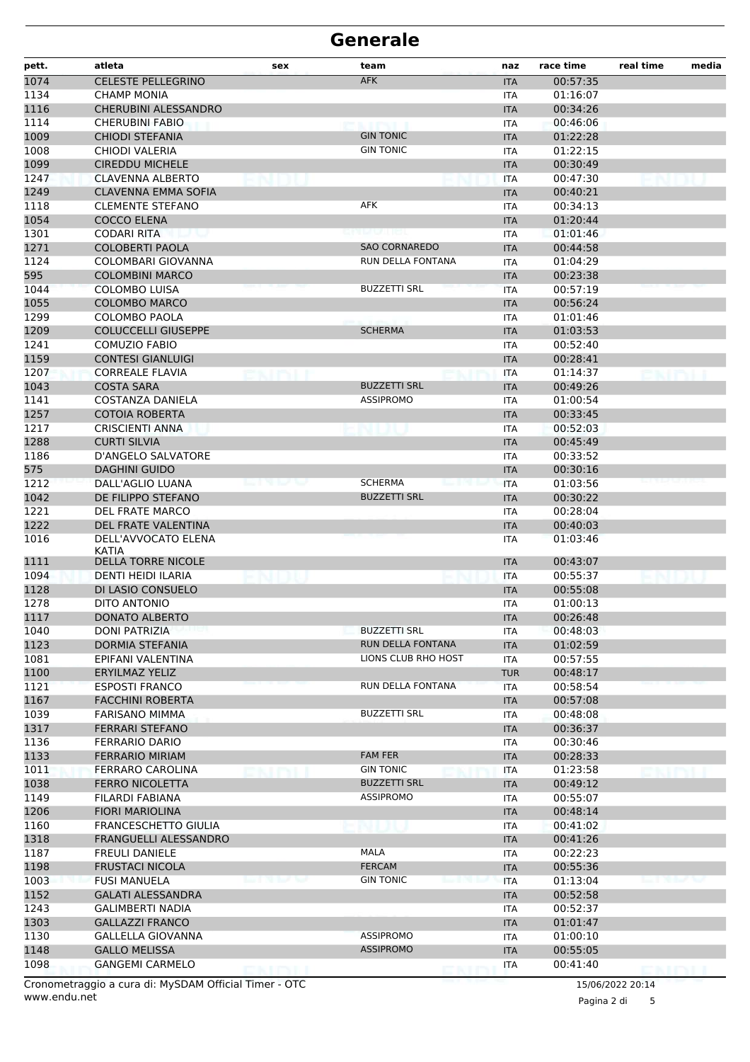| pett.        | atleta                                          | sex                     | team                                    | naz                      | race time            | real time | media |
|--------------|-------------------------------------------------|-------------------------|-----------------------------------------|--------------------------|----------------------|-----------|-------|
| 1074         | <b>CELESTE PELLEGRINO</b>                       |                         | <b>AFK</b>                              | <b>ITA</b>               | 00:57:35             |           |       |
| 1134         | <b>CHAMP MONIA</b>                              |                         |                                         | <b>ITA</b>               | 01:16:07             |           |       |
| 1116         | CHERUBINI ALESSANDRO                            |                         |                                         | <b>ITA</b>               | 00:34:26             |           |       |
| 1114         | <b>CHERUBINI FABIO</b>                          |                         |                                         | <b>ITA</b>               | 00:46:06             |           |       |
| 1009         | <b>CHIODI STEFANIA</b>                          |                         | <b>GIN TONIC</b>                        | <b>ITA</b>               | 01:22:28             |           |       |
| 1008         | CHIODI VALERIA                                  |                         | <b>GIN TONIC</b>                        | ITA                      | 01:22:15             |           |       |
| 1099         | <b>CIREDDU MICHELE</b>                          |                         |                                         | <b>ITA</b>               | 00:30:49             |           |       |
| 1247         | <b>CLAVENNA ALBERTO</b>                         |                         |                                         | <b>ITA</b>               | 00:47:30             |           |       |
| 1249         | <b>CLAVENNA EMMA SOFIA</b>                      |                         |                                         | <b>ITA</b>               | 00:40:21             |           |       |
| 1118         | <b>CLEMENTE STEFANO</b>                         |                         | <b>AFK</b>                              | <b>ITA</b>               | 00:34:13             |           |       |
| 1054         | COCCO ELENA                                     |                         |                                         | <b>ITA</b>               | 01:20:44             |           |       |
| 1301         | CODARI RITA                                     |                         |                                         | ITA                      | 01:01:46             |           |       |
| 1271         | <b>COLOBERTI PAOLA</b>                          |                         | <b>SAO CORNAREDO</b>                    | <b>ITA</b>               | 00:44:58             |           |       |
| 1124         | COLOMBARI GIOVANNA                              |                         | RUN DELLA FONTANA                       | <b>ITA</b>               | 01:04:29             |           |       |
| 595          | <b>COLOMBINI MARCO</b>                          |                         |                                         | <b>ITA</b>               | 00:23:38             |           |       |
| 1044         | <b>COLOMBO LUISA</b>                            |                         | <b>BUZZETTI SRL</b>                     | <b>ITA</b>               | 00:57:19             |           |       |
| 1055         | <b>COLOMBO MARCO</b>                            |                         |                                         | <b>ITA</b>               | 00:56:24             |           |       |
| 1299         | <b>COLOMBO PAOLA</b>                            |                         |                                         | ITA                      | 01:01:46             |           |       |
| 1209         | <b>COLUCCELLI GIUSEPPE</b>                      |                         | <b>SCHERMA</b>                          | <b>ITA</b>               | 01:03:53             |           |       |
| 1241         | <b>COMUZIO FABIO</b>                            |                         |                                         | <b>ITA</b>               | 00:52:40             |           |       |
| 1159         | <b>CONTESI GIANLUIGI</b>                        |                         |                                         | <b>ITA</b>               | 00:28:41             |           |       |
| 1207         | <b>CORREALE FLAVIA</b>                          |                         |                                         | <b>ITA</b>               | 01:14:37             |           |       |
| 1043         | <b>COSTA SARA</b>                               |                         | <b>BUZZETTI SRL</b><br><b>ASSIPROMO</b> | <b>ITA</b>               | 00:49:26             |           |       |
| 1141         | COSTANZA DANIELA                                |                         |                                         | ITA                      | 01:00:54             |           |       |
| 1257<br>1217 | <b>COTOIA ROBERTA</b>                           |                         |                                         | <b>ITA</b>               | 00:33:45             |           |       |
|              | <b>CRISCIENTI ANNA</b>                          |                         |                                         | ITA                      | 00:52:03             |           |       |
| 1288         | <b>CURTI SILVIA</b>                             |                         |                                         | <b>ITA</b>               | 00:45:49             |           |       |
| 1186<br>575  | D'ANGELO SALVATORE<br><b>DAGHINI GUIDO</b>      |                         |                                         | <b>ITA</b>               | 00:33:52<br>00:30:16 |           |       |
| 1212         | DALL'AGLIO LUANA                                |                         | <b>SCHERMA</b>                          | <b>ITA</b>               | 01:03:56             |           |       |
| 1042         | DE FILIPPO STEFANO                              |                         | <b>BUZZETTI SRL</b>                     | <b>ITA</b><br><b>ITA</b> | 00:30:22             |           |       |
| 1221         | <b>DEL FRATE MARCO</b>                          |                         |                                         | ITA                      | 00:28:04             |           |       |
| 1222         | DEL FRATE VALENTINA                             |                         |                                         | <b>ITA</b>               | 00:40:03             |           |       |
| 1016         | DELL'AVVOCATO ELENA                             |                         |                                         | <b>ITA</b>               | 01:03:46             |           |       |
|              | KATIA                                           |                         |                                         |                          |                      |           |       |
| 1111         | <b>DELLA TORRE NICOLE</b>                       |                         |                                         | <b>ITA</b>               | 00:43:07             |           |       |
| 1094         | DENTI HEIDI ILARIA                              |                         |                                         | <b>ITA</b>               | 00:55:37             |           |       |
| 1128         | DI LASIO CONSUELO                               |                         |                                         | <b>ITA</b>               | 00:55:08             |           |       |
| 1278         | DITO ANTONIO                                    |                         |                                         | <b>ITA</b>               | 01:00:13             |           |       |
| 1117         | <b>DONATO ALBERTO</b>                           |                         |                                         | <b>ITA</b>               | 00:26:48             |           |       |
| 1040         | <b>DONI PATRIZIA</b>                            |                         | <b>BUZZETTI SRL</b>                     | ITA                      | 00:48:03             |           |       |
| 1123         | DORMIA STEFANIA                                 |                         | RUN DELLA FONTANA                       | <b>ITA</b>               | 01:02:59             |           |       |
| 1081         | EPIFANI VALENTINA                               |                         | LIONS CLUB RHO HOST                     | <b>ITA</b>               | 00:57:55             |           |       |
| 1100         | <b>ERYILMAZ YELIZ</b>                           |                         |                                         | <b>TUR</b>               | 00:48:17             |           |       |
| 1121         | <b>ESPOSTI FRANCO</b>                           |                         | RUN DELLA FONTANA                       | <b>ITA</b>               | 00:58:54             |           |       |
| 1167         | <b>FACCHINI ROBERTA</b>                         |                         |                                         | <b>ITA</b>               | 00:57:08             |           |       |
| 1039         | <b>FARISANO MIMMA</b>                           |                         | <b>BUZZETTI SRL</b>                     | ITA                      | 00:48:08             |           |       |
| 1317         | <b>FERRARI STEFANO</b>                          |                         |                                         | <b>ITA</b>               | 00:36:37             |           |       |
| 1136         | <b>FERRARIO DARIO</b><br><b>FERRARIO MIRIAM</b> |                         | <b>FAM FER</b>                          | ITA                      | 00:30:46             |           |       |
| 1133<br>1011 | FERRARO CAROLINA                                |                         | <b>GIN TONIC</b>                        | <b>ITA</b>               | 00:28:33<br>01:23:58 |           |       |
|              | <b>FERRO NICOLETTA</b>                          |                         | <b>BUZZETTI SRL</b>                     | <b>ITA</b>               |                      |           |       |
| 1038<br>1149 | FILARDI FABIANA                                 |                         | <b>ASSIPROMO</b>                        | <b>ITA</b>               | 00:49:12<br>00:55:07 |           |       |
| 1206         | <b>FIORI MARIOLINA</b>                          |                         |                                         | ITA<br><b>ITA</b>        | 00:48:14             |           |       |
| 1160         | <b>FRANCESCHETTO GIULIA</b>                     |                         |                                         | <b>ITA</b>               | 00:41:02             |           |       |
| 1318         | FRANGUELLI ALESSANDRO                           |                         |                                         | <b>ITA</b>               | 00:41:26             |           |       |
| 1187         | <b>FREULI DANIELE</b>                           |                         | <b>MALA</b>                             | ITA                      | 00:22:23             |           |       |
| 1198         | <b>FRUSTACI NICOLA</b>                          |                         | <b>FERCAM</b>                           | <b>ITA</b>               | 00:55:36             |           |       |
| 1003         | <b>FUSI MANUELA</b>                             | <b>COMPOSITION</b><br>w | <b>GIN TONIC</b>                        | <b>ITA</b>               | 01:13:04             |           |       |
| 1152         | <b>GALATI ALESSANDRA</b>                        |                         |                                         | <b>ITA</b>               | 00:52:58             |           |       |
| 1243         | <b>GALIMBERTI NADIA</b>                         |                         |                                         | ITA                      | 00:52:37             |           |       |
| 1303         | <b>GALLAZZI FRANCO</b>                          |                         |                                         | <b>ITA</b>               | 01:01:47             |           |       |
| 1130         | <b>GALLELLA GIOVANNA</b>                        |                         | <b>ASSIPROMO</b>                        | <b>ITA</b>               | 01:00:10             |           |       |
| 1148         | <b>GALLO MELISSA</b>                            |                         | <b>ASSIPROMO</b>                        | <b>ITA</b>               | 00:55:05             |           |       |
| 1098         | <b>GANGEMI CARMELO</b>                          |                         |                                         | <b>ITA</b>               | 00:41:40             |           |       |
|              |                                                 |                         |                                         |                          |                      |           |       |

www.endu.net Cronometraggio a cura di: MySDAM Official Timer - OTC 15/06/2022 20:14

Pagina 2 di 5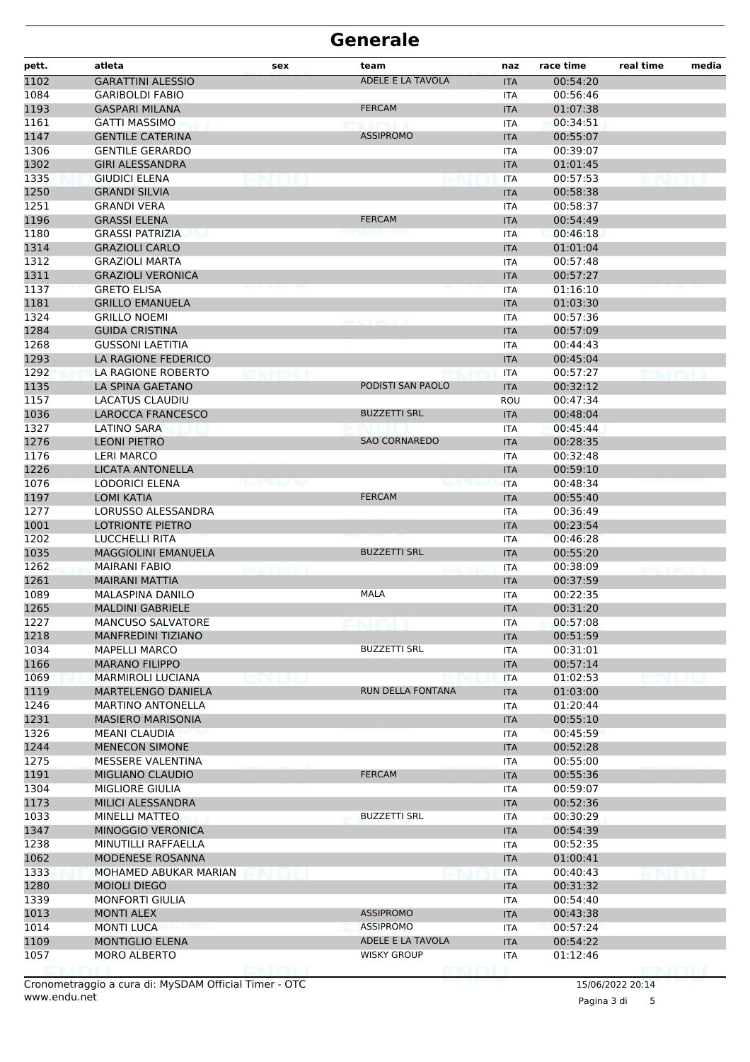| pett. | atleta                     | sex       | team                 | naz        | race time | real time | media |
|-------|----------------------------|-----------|----------------------|------------|-----------|-----------|-------|
| 1102  | <b>GARATTINI ALESSIO</b>   |           | ADELE E LA TAVOLA    | <b>ITA</b> | 00:54:20  |           |       |
| 1084  | <b>GARIBOLDI FABIO</b>     |           |                      | <b>ITA</b> | 00:56:46  |           |       |
| 1193  | <b>GASPARI MILANA</b>      |           | <b>FERCAM</b>        | <b>ITA</b> | 01:07:38  |           |       |
| 1161  | <b>GATTI MASSIMO</b>       |           |                      | <b>ITA</b> | 00:34:51  |           |       |
| 1147  | <b>GENTILE CATERINA</b>    |           | <b>ASSIPROMO</b>     | <b>ITA</b> | 00:55:07  |           |       |
| 1306  | <b>GENTILE GERARDO</b>     |           |                      | <b>ITA</b> | 00:39:07  |           |       |
| 1302  | <b>GIRI ALESSANDRA</b>     |           |                      | <b>ITA</b> | 01:01:45  |           |       |
| 1335  | <b>GIUDICI ELENA</b>       |           |                      | <b>ITA</b> | 00:57:53  |           |       |
| 1250  | <b>GRANDI SILVIA</b>       |           |                      | <b>ITA</b> | 00:58:38  |           |       |
| 1251  | <b>GRANDI VERA</b>         |           |                      | ITA        | 00:58:37  |           |       |
| 1196  | <b>GRASSI ELENA</b>        |           | <b>FERCAM</b>        | <b>ITA</b> | 00:54:49  |           |       |
| 1180  | <b>GRASSI PATRIZIA</b>     |           |                      | <b>ITA</b> | 00:46:18  |           |       |
| 1314  | <b>GRAZIOLI CARLO</b>      |           |                      | <b>ITA</b> | 01:01:04  |           |       |
| 1312  | <b>GRAZIOLI MARTA</b>      |           |                      | <b>ITA</b> | 00:57:48  |           |       |
| 1311  | <b>GRAZIOLI VERONICA</b>   |           |                      | <b>ITA</b> | 00:57:27  |           |       |
| 1137  | <b>GRETO ELISA</b>         |           |                      | <b>ITA</b> | 01:16:10  |           |       |
| 1181  | <b>GRILLO EMANUELA</b>     |           |                      | <b>ITA</b> | 01:03:30  |           |       |
| 1324  | <b>GRILLO NOEMI</b>        |           |                      | <b>ITA</b> | 00:57:36  |           |       |
| 1284  | <b>GUIDA CRISTINA</b>      |           |                      | <b>ITA</b> | 00:57:09  |           |       |
| 1268  | <b>GUSSONI LAETITIA</b>    |           |                      | <b>ITA</b> | 00:44:43  |           |       |
| 1293  | LA RAGIONE FEDERICO        |           |                      | <b>ITA</b> | 00:45:04  |           |       |
| 1292  | LA RAGIONE ROBERTO         |           |                      | <b>ITA</b> | 00:57:27  |           |       |
| 1135  | LA SPINA GAETANO           |           | PODISTI SAN PAOLO    | <b>ITA</b> | 00:32:12  |           |       |
| 1157  | <b>LACATUS CLAUDIU</b>     |           |                      | <b>ROU</b> | 00:47:34  |           |       |
| 1036  | LAROCCA FRANCESCO          |           | <b>BUZZETTI SRL</b>  | <b>ITA</b> | 00:48:04  |           |       |
| 1327  | LATINO SARA                |           |                      | <b>ITA</b> | 00:45:44  |           |       |
| 1276  | <b>LEONI PIETRO</b>        |           | <b>SAO CORNAREDO</b> | <b>ITA</b> | 00:28:35  |           |       |
| 1176  | LERI MARCO                 |           |                      | <b>ITA</b> | 00:32:48  |           |       |
| 1226  | LICATA ANTONELLA           |           |                      | <b>ITA</b> | 00:59:10  |           |       |
| 1076  | <b>LODORICI ELENA</b>      | en was be |                      | <b>ITA</b> | 00:48:34  |           |       |
| 1197  | <b>LOMI KATIA</b>          |           | <b>FERCAM</b>        | <b>ITA</b> | 00:55:40  |           |       |
| 1277  | LORUSSO ALESSANDRA         |           |                      | <b>ITA</b> | 00:36:49  |           |       |
| 1001  | <b>LOTRIONTE PIETRO</b>    |           |                      | <b>ITA</b> | 00:23:54  |           |       |
| 1202  | LUCCHELLI RITA             |           |                      | <b>ITA</b> | 00:46:28  |           |       |
| 1035  | <b>MAGGIOLINI EMANUELA</b> |           | <b>BUZZETTI SRL</b>  | <b>ITA</b> | 00:55:20  |           |       |
| 1262  | <b>MAIRANI FABIO</b>       |           |                      | <b>ITA</b> | 00:38:09  |           |       |
| 1261  | <b>MAIRANI MATTIA</b>      |           |                      | <b>ITA</b> | 00:37:59  |           |       |
| 1089  | <b>MALASPINA DANILO</b>    |           | <b>MALA</b>          | ITA        | 00:22:35  |           |       |
| 1265  | <b>MALDINI GABRIELE</b>    |           |                      | <b>ITA</b> | 00:31:20  |           |       |
| 1227  | <b>MANCUSO SALVATORE</b>   |           |                      | ITA        | 00:57:08  |           |       |
| 1218  | <b>MANFREDINI TIZIANO</b>  |           |                      | <b>ITA</b> | 00:51:59  |           |       |
| 1034  | <b>MAPELLI MARCO</b>       |           | <b>BUZZETTI SRL</b>  | <b>ITA</b> | 00:31:01  |           |       |
| 1166  | <b>MARANO FILIPPO</b>      |           |                      | <b>ITA</b> | 00:57:14  |           |       |
| 1069  | <b>MARMIROLI LUCIANA</b>   |           |                      | <b>ITA</b> | 01:02:53  |           |       |
| 1119  | MARTELENGO DANIELA         |           | RUN DELLA FONTANA    | <b>ITA</b> | 01:03:00  |           |       |
| 1246  | <b>MARTINO ANTONELLA</b>   |           |                      | <b>ITA</b> | 01:20:44  |           |       |
| 1231  | <b>MASIERO MARISONIA</b>   |           |                      | <b>ITA</b> | 00:55:10  |           |       |
| 1326  | <b>MEANI CLAUDIA</b>       |           |                      | <b>ITA</b> | 00:45:59  |           |       |
| 1244  | <b>MENECON SIMONE</b>      |           |                      | <b>ITA</b> | 00:52:28  |           |       |
| 1275  | MESSERE VALENTINA          |           |                      | <b>ITA</b> | 00:55:00  |           |       |
| 1191  | <b>MIGLIANO CLAUDIO</b>    |           | <b>FERCAM</b>        | <b>ITA</b> | 00:55:36  |           |       |
| 1304  | MIGLIORE GIULIA            |           |                      | <b>ITA</b> | 00:59:07  |           |       |
| 1173  | MILICI ALESSANDRA          |           |                      | <b>ITA</b> | 00:52:36  |           |       |
| 1033  | <b>MINELLI MATTEO</b>      |           | <b>BUZZETTI SRL</b>  | <b>ITA</b> | 00:30:29  |           |       |
| 1347  | MINOGGIO VERONICA          |           |                      | <b>ITA</b> | 00:54:39  |           |       |
| 1238  | MINUTILLI RAFFAELLA        |           |                      | <b>ITA</b> | 00:52:35  |           |       |
| 1062  | MODENESE ROSANNA           |           |                      | <b>ITA</b> | 01:00:41  |           |       |
| 1333  | MOHAMED ABUKAR MARIAN      |           |                      | <b>ITA</b> | 00:40:43  |           |       |
| 1280  | <b>MOIOLI DIEGO</b>        |           |                      | <b>ITA</b> | 00:31:32  |           |       |
| 1339  | <b>MONFORTI GIULIA</b>     |           |                      | <b>ITA</b> | 00:54:40  |           |       |
| 1013  | <b>MONTI ALEX</b>          |           | <b>ASSIPROMO</b>     | <b>ITA</b> | 00:43:38  |           |       |
| 1014  | <b>MONTI LUCA</b>          |           | <b>ASSIPROMO</b>     | <b>ITA</b> | 00:57:24  |           |       |
| 1109  | <b>MONTIGLIO ELENA</b>     |           | ADELE E LA TAVOLA    | <b>ITA</b> | 00:54:22  |           |       |
| 1057  | MORO ALBERTO               |           | <b>WISKY GROUP</b>   | ITA        | 01:12:46  |           |       |
|       |                            | e nimi    |                      |            |           | DMM I     |       |

Pagina 3 di 5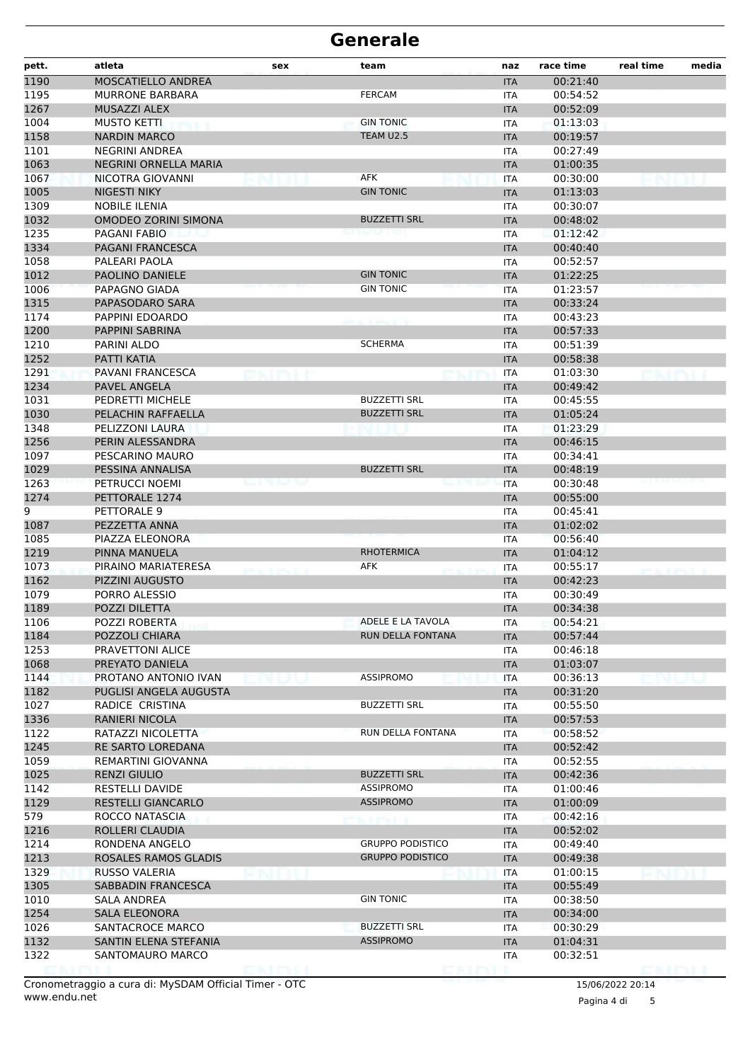| pett.        | atleta                                              | sex            | team                     | naz                      | race time            | real time       | media |
|--------------|-----------------------------------------------------|----------------|--------------------------|--------------------------|----------------------|-----------------|-------|
| 1190         | MOSCATIELLO ANDREA                                  |                |                          | <b>ITA</b>               | 00:21:40             |                 |       |
| 1195         | <b>MURRONE BARBARA</b>                              |                | <b>FERCAM</b>            | <b>ITA</b>               | 00:54:52             |                 |       |
| 1267         | <b>MUSAZZI ALEX</b>                                 |                |                          | <b>ITA</b>               | 00:52:09             |                 |       |
| 1004         | <b>MUSTO KETTI</b>                                  |                | <b>GIN TONIC</b>         | <b>ITA</b>               | 01:13:03             |                 |       |
| 1158         | <b>NARDIN MARCO</b>                                 |                | TEAM U2.5                | <b>ITA</b>               | 00:19:57             |                 |       |
| 1101         | <b>NEGRINI ANDREA</b>                               |                |                          | ITA                      | 00:27:49             |                 |       |
| 1063         | NEGRINI ORNELLA MARIA                               |                |                          | <b>ITA</b>               | 01:00:35             |                 |       |
| 1067         | NICOTRA GIOVANNI                                    |                | AFK                      | <b>ITA</b>               | 00:30:00             |                 |       |
| 1005         | <b>NIGESTI NIKY</b>                                 |                | <b>GIN TONIC</b>         | <b>ITA</b>               | 01:13:03             |                 |       |
| 1309<br>1032 | <b>NOBILE ILENIA</b><br><b>OMODEO ZORINI SIMONA</b> |                | <b>BUZZETTI SRL</b>      | <b>ITA</b><br><b>ITA</b> | 00:30:07<br>00:48:02 |                 |       |
| 1235         | PAGANI FABIO                                        |                |                          | ITA                      | 01:12:42             |                 |       |
| 1334         | PAGANI FRANCESCA                                    |                |                          | <b>ITA</b>               | 00:40:40             |                 |       |
| 1058         | PALEARI PAOLA                                       |                |                          | <b>ITA</b>               | 00:52:57             |                 |       |
| 1012         | PAOLINO DANIELE                                     |                | <b>GIN TONIC</b>         | <b>ITA</b>               | 01:22:25             |                 |       |
| 1006         | PAPAGNO GIADA                                       |                | <b>GIN TONIC</b>         | <b>ITA</b>               | 01:23:57             |                 |       |
| 1315         | PAPASODARO SARA                                     |                |                          | <b>ITA</b>               | 00:33:24             |                 |       |
| 1174         | PAPPINI EDOARDO                                     |                |                          | ITA                      | 00:43:23             |                 |       |
| 1200         | PAPPINI SABRINA                                     |                |                          | <b>ITA</b>               | 00:57:33             |                 |       |
| 1210         | PARINI ALDO                                         |                | <b>SCHERMA</b>           | <b>ITA</b>               | 00:51:39             |                 |       |
| 1252         | PATTI KATIA                                         |                |                          | <b>ITA</b>               | 00:58:38             |                 |       |
| 1291         | PAVANI FRANCESCA                                    |                |                          | <b>ITA</b>               | 01:03:30             |                 |       |
| 1234         | PAVEL ANGELA                                        |                |                          | <b>ITA</b>               | 00:49:42             |                 |       |
| 1031         | PEDRETTI MICHELE                                    |                | <b>BUZZETTI SRL</b>      | ITA                      | 00:45:55             |                 |       |
| 1030         | PELACHIN RAFFAELLA                                  |                | <b>BUZZETTI SRL</b>      | <b>ITA</b>               | 01:05:24             |                 |       |
| 1348         | PELIZZONI LAURA                                     |                |                          | <b>ITA</b>               | 01:23:29             |                 |       |
| 1256         | PERIN ALESSANDRA                                    |                |                          | <b>ITA</b>               | 00:46:15             |                 |       |
| 1097         | PESCARINO MAURO                                     |                |                          | <b>ITA</b>               | 00:34:41             |                 |       |
| 1029         | PESSINA ANNALISA                                    |                | <b>BUZZETTI SRL</b>      | <b>ITA</b>               | 00:48:19             |                 |       |
| 1263         | PETRUCCI NOEMI                                      | e a se este    |                          | ITA                      | 00:30:48             |                 |       |
| 1274         | PETTORALE 1274                                      |                |                          | <b>ITA</b>               | 00:55:00             |                 |       |
| 9            | PETTORALE 9                                         |                |                          | <b>ITA</b>               | 00:45:41             |                 |       |
| 1087         | PEZZETTA ANNA                                       |                |                          | <b>ITA</b>               | 01:02:02             |                 |       |
| 1085         | PIAZZA ELEONORA                                     |                | <b>RHOTERMICA</b>        | <b>ITA</b>               | 00:56:40<br>01:04:12 |                 |       |
| 1219<br>1073 | PINNA MANUELA<br>PIRAINO MARIATERESA                |                | AFK                      | <b>ITA</b>               | 00:55:17             |                 |       |
| 1162         | PIZZINI AUGUSTO                                     | <b>EXTRACT</b> |                          | ITA<br><b>ITA</b>        | 00:42:23             |                 |       |
| 1079         | PORRO ALESSIO                                       |                |                          | <b>ITA</b>               | 00:30:49             |                 |       |
| 1189         | POZZI DILETTA                                       |                |                          | <b>ITA</b>               | 00:34:38             |                 |       |
| 1106         | POZZI ROBERTA                                       |                | ADELE E LA TAVOLA        | <b>ITA</b>               | 00:54:21             |                 |       |
| 1184         | POZZOLI CHIARA                                      |                | <b>RUN DELLA FONTANA</b> | <b>ITA</b>               | 00:57:44             |                 |       |
| 1253         | PRAVETTONI ALICE                                    |                |                          | <b>ITA</b>               | 00:46:18             |                 |       |
| 1068         | PREYATO DANIELA                                     |                |                          | <b>ITA</b>               | 01:03:07             |                 |       |
| 1144         | PROTANO ANTONIO IVAN                                |                | <b>ASSIPROMO</b>         | <b>ITA</b>               | 00:36:13             |                 |       |
| 1182         | PUGLISI ANGELA AUGUSTA                              |                |                          | <b>ITA</b>               | 00:31:20             |                 |       |
| 1027         | RADICE CRISTINA                                     |                | <b>BUZZETTI SRL</b>      | ITA                      | 00:55:50             |                 |       |
| 1336         | <b>RANIERI NICOLA</b>                               |                |                          | <b>ITA</b>               | 00:57:53             |                 |       |
| 1122         | RATAZZI NICOLETTA                                   |                | RUN DELLA FONTANA        | <b>ITA</b>               | 00:58:52             |                 |       |
| 1245         | RE SARTO LOREDANA                                   |                |                          | <b>ITA</b>               | 00:52:42             |                 |       |
| 1059         | REMARTINI GIOVANNA                                  |                |                          | ITA                      | 00:52:55             |                 |       |
| 1025         | <b>RENZI GIULIO</b>                                 |                | <b>BUZZETTI SRL</b>      | <b>ITA</b>               | 00:42:36             |                 |       |
| 1142         | <b>RESTELLI DAVIDE</b>                              |                | ASSIPROMO                | ITA                      | 01:00:46             |                 |       |
| 1129         | <b>RESTELLI GIANCARLO</b>                           |                | <b>ASSIPROMO</b>         | <b>ITA</b>               | 01:00:09             |                 |       |
| 579          | ROCCO NATASCIA                                      |                | <b>L. T. PTS E. Jr.</b>  | ITA                      | 00:42:16             |                 |       |
| 1216         | ROLLERI CLAUDIA                                     |                |                          | <b>ITA</b>               | 00:52:02             |                 |       |
| 1214         | RONDENA ANGELO                                      |                | <b>GRUPPO PODISTICO</b>  | ITA                      | 00:49:40             |                 |       |
| 1213         | ROSALES RAMOS GLADIS                                |                | <b>GRUPPO PODISTICO</b>  | <b>ITA</b>               | 00:49:38             |                 |       |
| 1329         | RUSSO VALERIA<br>SABBADIN FRANCESCA                 |                |                          | ITA                      | 01:00:15<br>00:55:49 |                 |       |
| 1305<br>1010 | SALA ANDREA                                         |                | <b>GIN TONIC</b>         | <b>ITA</b><br><b>ITA</b> | 00:38:50             |                 |       |
| 1254         | <b>SALA ELEONORA</b>                                |                |                          | <b>ITA</b>               | 00:34:00             |                 |       |
| 1026         | SANTACROCE MARCO                                    |                | <b>BUZZETTI SRL</b>      | ITA                      | 00:30:29             |                 |       |
| 1132         | SANTIN ELENA STEFANIA                               |                | <b>ASSIPROMO</b>         | <b>ITA</b>               | 01:04:31             |                 |       |
| 1322         | SANTOMAURO MARCO                                    |                |                          | ITA                      | 00:32:51             |                 |       |
|              |                                                     |                |                          |                          |                      | <b>ENGERVER</b> |       |

www.endu.net Cronometraggio a cura di: MySDAM Official Timer - OTC 15/06/2022 20:14

Pagina 4 di 5